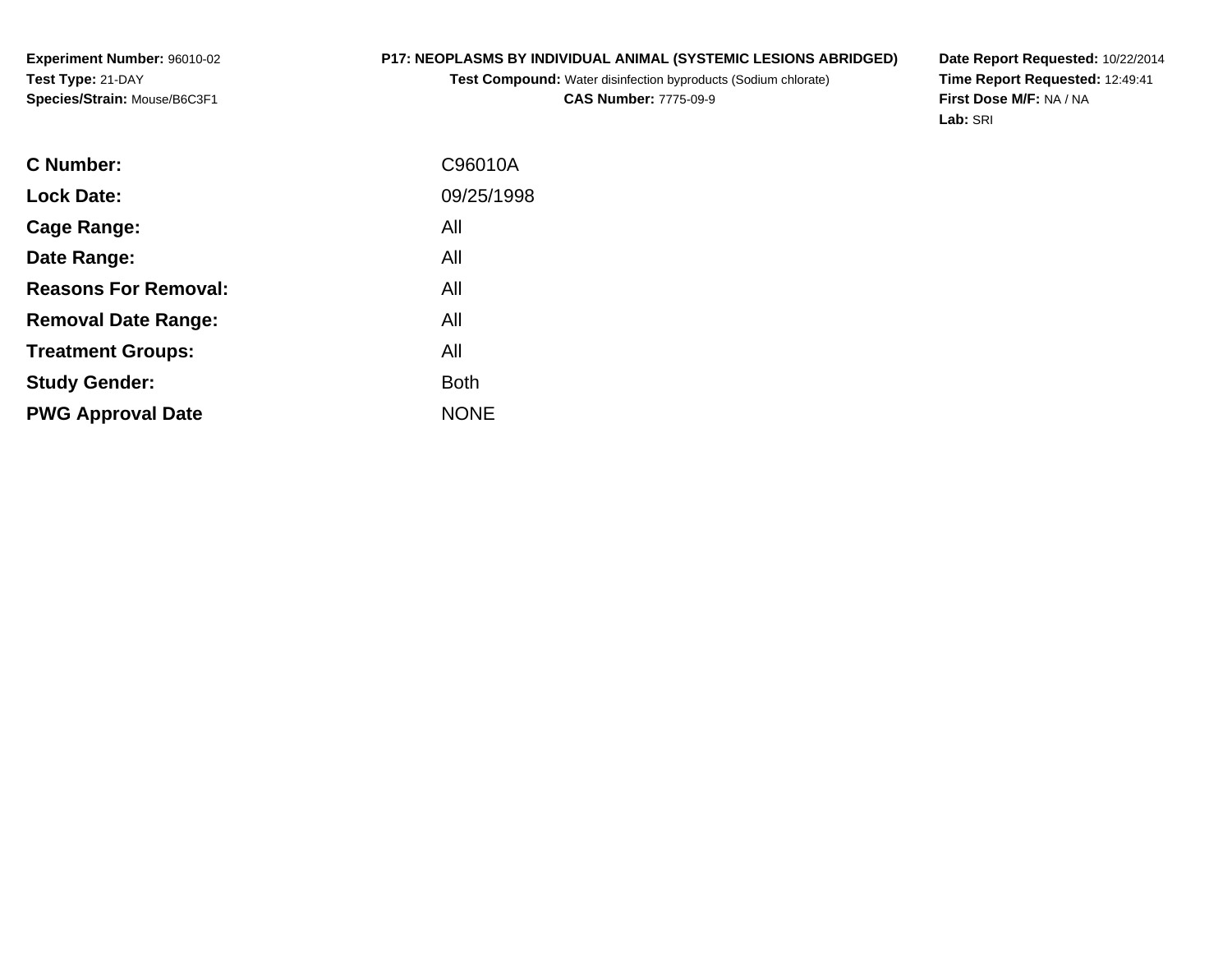# **P17: NEOPLASMS BY INDIVIDUAL ANIMAL (SYSTEMIC LESIONS ABRIDGED)**

**Test Compound:** Water disinfection byproducts (Sodium chlorate)**CAS Number:** 7775-09-9

**Date Report Requested:** 10/22/2014 **Time Report Requested:** 12:49:41**First Dose M/F:** NA / NA**Lab:** SRI

| <b>C</b> Number:            | C96010A     |
|-----------------------------|-------------|
|                             |             |
| <b>Lock Date:</b>           | 09/25/1998  |
| Cage Range:                 | All         |
| Date Range:                 | All         |
| <b>Reasons For Removal:</b> | All         |
| <b>Removal Date Range:</b>  | All         |
| <b>Treatment Groups:</b>    | All         |
| <b>Study Gender:</b>        | <b>Both</b> |
| <b>PWG Approval Date</b>    | <b>NONE</b> |
|                             |             |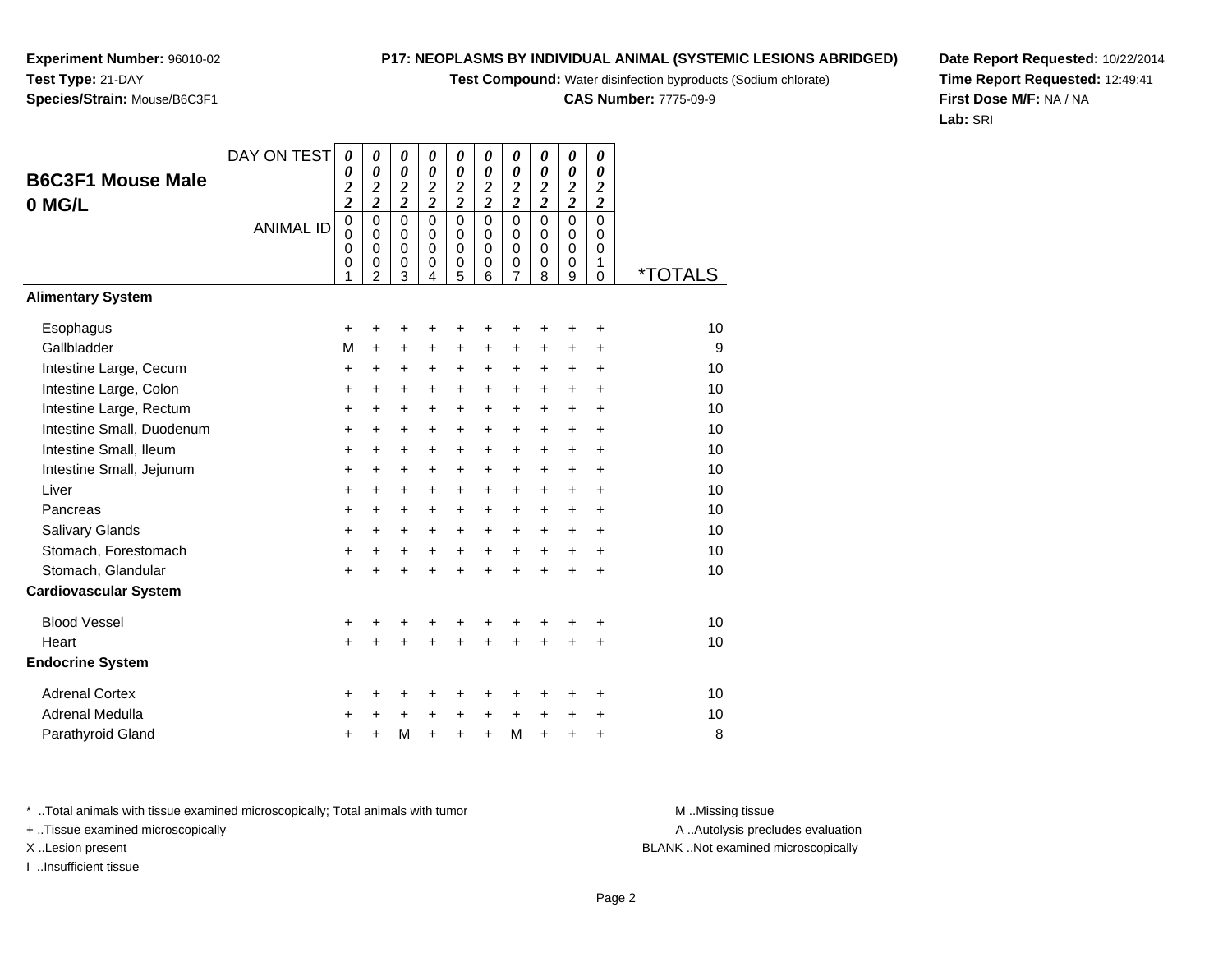**Test Compound:** Water disinfection byproducts (Sodium chlorate)

**CAS Number:** 7775-09-9

**Date Report Requested:** 10/22/2014**Time Report Requested:** 12:49:41**First Dose M/F:** NA / NA**Lab:** SRI

<sup>+</sup> <sup>+</sup> <sup>+</sup> <sup>+</sup> <sup>+</sup> <sup>+</sup> <sup>+</sup> <sup>+</sup> <sup>+</sup> <sup>10</sup>

A .. Autolysis precludes evaluation

\* ..Total animals with tissue examined microscopically; Total animals with tumor **M** ..Missing tissue M ..Missing tissue

a  $+$ 

+ ..Tissue examined microscopically

X ..Lesion present BLANK ..Not examined microscopically

Adrenal Medulla

I ..Insufficient tissue

Parathyroid Glandd  $+$ <sup>+</sup> <sup>+</sup> <sup>+</sup> <sup>M</sup> <sup>+</sup> <sup>+</sup> <sup>+</sup> <sup>8</sup>

DAY ON TEST

*0*

*0*

*0 2 2*

*0 2 2*

|                              | <b>ANIMAL ID</b> | 0<br>0<br>$\mathbf 0$<br>0<br>1 | 0<br>$\pmb{0}$<br>$\mathbf 0$<br>0<br>$\overline{2}$ | 0<br>0<br>$\mathbf 0$<br>$\mathbf 0$<br>3 | 0<br>$\pmb{0}$<br>$\mathbf 0$<br>$\pmb{0}$<br>4 | 0<br>$\mathbf 0$<br>$\Omega$<br>0<br>5 | 0<br>$\pmb{0}$<br>$\pmb{0}$<br>$\,0\,$<br>6 | 0<br>$\mathbf 0$<br>$\mathbf 0$<br>0<br>7 | 0<br>0<br>$\mathbf 0$<br>$\pmb{0}$<br>8 | 0<br>$\mathbf 0$<br>$\mathbf 0$<br>0<br>9 | 0<br>0<br>$\mathbf 0$<br>1<br>$\Omega$ | <i><b>*TOTALS</b></i> |
|------------------------------|------------------|---------------------------------|------------------------------------------------------|-------------------------------------------|-------------------------------------------------|----------------------------------------|---------------------------------------------|-------------------------------------------|-----------------------------------------|-------------------------------------------|----------------------------------------|-----------------------|
| <b>Alimentary System</b>     |                  |                                 |                                                      |                                           |                                                 |                                        |                                             |                                           |                                         |                                           |                                        |                       |
| Esophagus                    |                  | $\ddot{}$                       | +                                                    | +                                         | +                                               | +                                      | +                                           |                                           |                                         |                                           | +                                      | 10                    |
| Gallbladder                  |                  | М                               | $\ddot{}$                                            | $\ddot{}$                                 | $\ddot{}$                                       | $\ddot{}$                              | $+$                                         | $\ddot{}$                                 | $\ddot{}$                               | $\ddot{}$                                 | $\ddot{}$                              | 9                     |
| Intestine Large, Cecum       |                  | $\ddot{}$                       | $\ddot{}$                                            | $\ddot{}$                                 | $\ddot{}$                                       | $\ddot{}$                              | $\ddot{}$                                   | $\ddot{}$                                 | +                                       | $\ddot{}$                                 | $\ddot{}$                              | 10                    |
| Intestine Large, Colon       |                  | $\ddot{}$                       | $\ddot{}$                                            | $\ddot{}$                                 | $\ddot{}$                                       | $+$                                    | $+$                                         | $+$                                       | $+$                                     | $\ddot{}$                                 | $\ddot{}$                              | 10                    |
| Intestine Large, Rectum      |                  | $\ddot{}$                       | $\ddot{}$                                            | $\ddot{}$                                 | $\ddot{}$                                       | +                                      | $\ddot{}$                                   | $\ddot{}$                                 | $\ddot{}$                               | $\ddot{}$                                 | $\ddot{}$                              | 10                    |
| Intestine Small, Duodenum    |                  | +                               | +                                                    | $\ddot{}$                                 | $\ddot{}$                                       | +                                      | $\ddot{}$                                   | $\ddot{}$                                 | $\ddot{}$                               | $\ddot{}$                                 | +                                      | 10                    |
| Intestine Small, Ileum       |                  | $\ddot{}$                       | $\ddot{}$                                            | $+$                                       | $\ddot{}$                                       | $\ddot{}$                              | $+$                                         | $\ddot{}$                                 | $\ddot{}$                               | $\ddot{}$                                 | +                                      | 10                    |
| Intestine Small, Jejunum     |                  | $\ddot{}$                       | $\ddot{}$                                            | $\ddot{}$                                 | $+$                                             | $\ddot{}$                              | $\ddot{}$                                   | $\ddot{}$                                 | $\ddot{}$                               | $\ddot{}$                                 | $\ddot{}$                              | 10                    |
| Liver                        |                  | $\ddot{}$                       | $\ddot{}$                                            | $\ddot{}$                                 | $\ddot{}$                                       | $\ddot{}$                              | $\ddot{}$                                   | $\ddot{}$                                 | $\ddot{}$                               | $\ddot{}$                                 | $\ddot{}$                              | 10                    |
| Pancreas                     |                  | $\ddot{}$                       | $\ddot{}$                                            | $\ddot{}$                                 | $\ddot{}$                                       | +                                      | $\ddot{}$                                   | $\ddot{}$                                 | $\ddot{}$                               | $\ddot{}$                                 | $\ddot{}$                              | 10                    |
| Salivary Glands              |                  | $\ddot{}$                       | +                                                    | $\ddot{}$                                 | $\ddot{}$                                       | $\pm$                                  | $\ddot{}$                                   | $\ddot{}$                                 | $\ddot{}$                               | $\ddot{}$                                 | $\ddot{}$                              | 10                    |
| Stomach, Forestomach         |                  | +                               | $\ddot{}$                                            | +                                         | $\ddot{}$                                       | +                                      | $\ddot{}$                                   | $\ddot{}$                                 | $\ddot{}$                               | $\ddot{}$                                 | $\ddot{}$                              | 10                    |
| Stomach, Glandular           |                  | $\ddot{}$                       | $\ddot{}$                                            | ٠                                         | $\ddot{}$                                       | $\ddot{}$                              | $\ddot{}$                                   | $\ddot{}$                                 | $\div$                                  | $\ddot{}$                                 | $\ddot{}$                              | 10                    |
| <b>Cardiovascular System</b> |                  |                                 |                                                      |                                           |                                                 |                                        |                                             |                                           |                                         |                                           |                                        |                       |
| <b>Blood Vessel</b>          |                  | +                               |                                                      |                                           |                                                 |                                        |                                             |                                           |                                         |                                           | +                                      | 10                    |
| Heart                        |                  | $+$                             |                                                      |                                           |                                                 |                                        | $\ddot{}$                                   |                                           |                                         |                                           | $\div$                                 | 10                    |
| <b>Endocrine System</b>      |                  |                                 |                                                      |                                           |                                                 |                                        |                                             |                                           |                                         |                                           |                                        |                       |
| <b>Adrenal Cortex</b>        |                  | +                               |                                                      |                                           |                                                 |                                        |                                             |                                           |                                         |                                           | ٠                                      | 10                    |
|                              |                  |                                 |                                                      |                                           |                                                 |                                        |                                             |                                           |                                         |                                           |                                        |                       |

<sup>+</sup> <sup>M</sup>

**Experiment Number:** 96010-02**Test Type:** 21-DAY**Species/Strain:** Mouse/B6C3F1

**B6C3F1 Mouse Male**

**0 MG/L**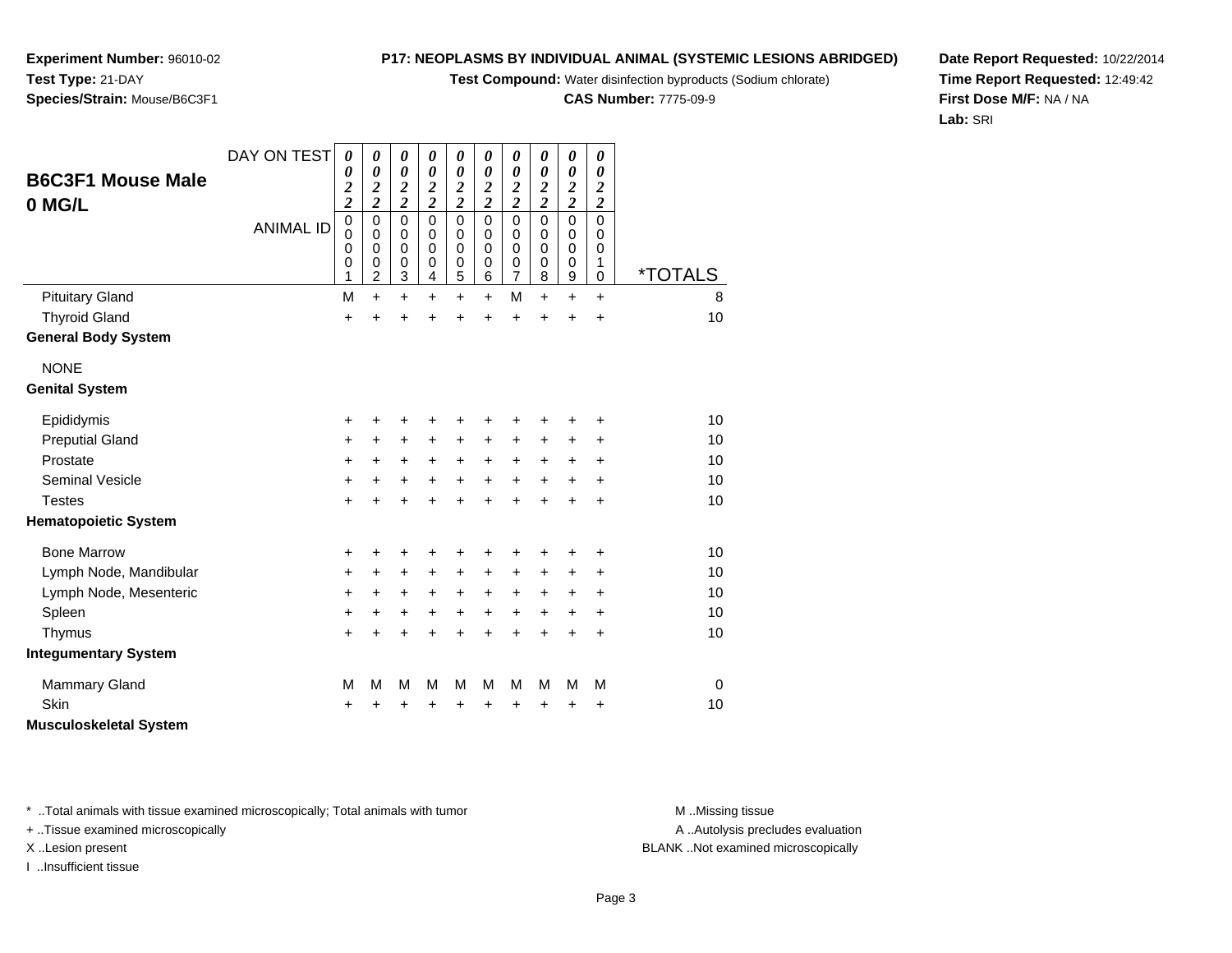**Test Compound:** Water disinfection byproducts (Sodium chlorate)

**CAS Number:** 7775-09-9

**Date Report Requested:** 10/22/2014**Time Report Requested:** 12:49:42**First Dose M/F:** NA / NA**Lab:** SRI

Page 3

\* ..Total animals with tissue examined microscopically; Total animals with tumor **M** ...Missing tissue M ...Missing tissue

+ ..Tissue examined microscopically

I ..Insufficient tissue

| Lymph Node, Mandibular | $\ddot{}$ |           | ÷      | ÷      |        | ÷         | ÷         |   |           | ÷ |
|------------------------|-----------|-----------|--------|--------|--------|-----------|-----------|---|-----------|---|
| Lymph Node, Mesenteric | +         | $\ddot{}$ | $\div$ | $\div$ | ٠      | $\ddot{}$ | $\ddot{}$ | + | $\ddot{}$ | ÷ |
| Spleen                 | +         | ÷         | ÷      | ÷      | ÷      | $\ddot{}$ | $\ddot{}$ |   | $\div$    | ÷ |
| Thymus                 | ÷         |           |        | ÷      | $\div$ | $\ddot{}$ | $\ddot{}$ |   |           | ÷ |
| tegumentary System     |           |           |        |        |        |           |           |   |           |   |
| <b>Mammary Gland</b>   | М         | М         | м      | м      | М      | м         | М         | м | м         | м |
| Skin                   | ÷         |           | +      | ÷      | ÷      | $\ddot{}$ | $\ddot{}$ |   | ÷         | ÷ |
| usculoskeletal System  |           |           |        |        |        |           |           |   |           |   |
|                        |           |           |        |        |        |           |           |   |           |   |
|                        |           |           |        |        |        |           |           |   |           |   |

# **Species/Strain:** Mouse/B6C3F1

|                               | DAY ON TEST      | 0                            | 0                            | 0                                                | 0                                         | 0                          | 0                                       | 0                            | 0             | 0                                                | 0                       |                       |
|-------------------------------|------------------|------------------------------|------------------------------|--------------------------------------------------|-------------------------------------------|----------------------------|-----------------------------------------|------------------------------|---------------|--------------------------------------------------|-------------------------|-----------------------|
| <b>B6C3F1 Mouse Male</b>      |                  | 0<br>$\overline{\mathbf{c}}$ | 0<br>$\overline{\mathbf{c}}$ | $\boldsymbol{\theta}$<br>$\overline{\mathbf{c}}$ | $\boldsymbol{\theta}$<br>$\boldsymbol{2}$ | 0<br>$\overline{2}$        | $\boldsymbol{\theta}$<br>$\overline{c}$ | 0<br>$\overline{\mathbf{c}}$ | 0             | $\boldsymbol{\theta}$<br>$\overline{\mathbf{c}}$ | 0<br>$\boldsymbol{2}$   |                       |
| 0 MG/L                        |                  | $\overline{\mathbf{c}}$      | $\overline{\mathbf{c}}$      | $\overline{c}$                                   | $\overline{2}$                            | $\overline{\mathbf{c}}$    | $\overline{\mathbf{c}}$                 | $\overline{2}$               | $\frac{2}{2}$ | $\overline{2}$                                   | $\overline{\mathbf{c}}$ |                       |
|                               | <b>ANIMAL ID</b> | $\mathbf 0$                  | 0                            | $\mathbf 0$                                      | $\mathbf 0$                               | $\mathbf 0$                | $\mathbf 0$                             | $\mathbf 0$                  | $\mathbf 0$   | $\mathbf 0$                                      | $\mathbf 0$             |                       |
|                               |                  | $\mathbf 0$<br>0             | $\mathbf 0$<br>0             | $\mathbf 0$<br>$\mathbf 0$                       | $\mathbf 0$<br>0                          | $\mathbf 0$<br>$\mathbf 0$ | 0<br>$\Omega$                           | 0<br>0                       | 0<br>0        | $\mathbf 0$<br>$\mathbf 0$                       | 0<br>0                  |                       |
|                               |                  | 0                            | 0                            | $\mathbf 0$                                      | $\mathbf 0$                               | $\mathbf 0$                | $\mathbf 0$                             | 0                            | $\mathbf 0$   | 0                                                | 1                       |                       |
|                               |                  | 1                            | $\overline{2}$               | 3                                                | $\overline{4}$                            | 5                          | 6                                       | 7                            | 8             | 9                                                | $\mathbf 0$             | <i><b>*TOTALS</b></i> |
| <b>Pituitary Gland</b>        |                  | M                            | $\ddot{}$                    | $\ddot{}$                                        | $\ddot{}$                                 | $\ddot{}$                  | $\ddot{}$                               | M                            | $\ddot{}$     | $\ddot{}$                                        | $\ddot{}$               | 8                     |
| <b>Thyroid Gland</b>          |                  | $\ddot{}$                    |                              | $\ddot{}$                                        | $\ddot{}$                                 | $\ddot{}$                  | $\ddot{}$                               | $\ddot{}$                    | $\ddot{}$     | +                                                | $\ddot{}$               | 10                    |
| <b>General Body System</b>    |                  |                              |                              |                                                  |                                           |                            |                                         |                              |               |                                                  |                         |                       |
| <b>NONE</b>                   |                  |                              |                              |                                                  |                                           |                            |                                         |                              |               |                                                  |                         |                       |
| <b>Genital System</b>         |                  |                              |                              |                                                  |                                           |                            |                                         |                              |               |                                                  |                         |                       |
| Epididymis                    |                  | +                            | +                            |                                                  |                                           | +                          | +                                       | +                            | +             |                                                  | +                       | 10                    |
| <b>Preputial Gland</b>        |                  | $\ddot{}$                    | +                            | $\ddot{}$                                        | $\ddot{}$                                 | $\ddot{}$                  | $\ddot{}$                               | $\pm$                        | +             | +                                                | $\ddot{}$               | 10                    |
| Prostate                      |                  | $\ddot{}$                    | $\ddot{}$                    | $\ddot{}$                                        | $\ddot{}$                                 | +                          | $\ddot{}$                               | $\ddot{}$                    | +             | +                                                | +                       | 10                    |
| <b>Seminal Vesicle</b>        |                  | +                            | $\ddot{}$                    | $\ddot{}$                                        | $\ddot{}$                                 | $\ddot{}$                  | $\ddot{}$                               | $\ddot{}$                    | $\ddot{}$     | +                                                | +                       | 10                    |
| <b>Testes</b>                 |                  | $+$                          | $\ddot{}$                    | $\ddot{}$                                        | $\ddot{}$                                 | $\ddot{}$                  | $\ddot{}$                               | $\ddot{}$                    | $\ddot{}$     | $\ddot{}$                                        | $\ddot{}$               | 10                    |
| <b>Hematopoietic System</b>   |                  |                              |                              |                                                  |                                           |                            |                                         |                              |               |                                                  |                         |                       |
| <b>Bone Marrow</b>            |                  | $\ddot{}$                    | +                            | +                                                | ÷                                         | +                          | +                                       | +                            | +             | +                                                | +                       | 10                    |
| Lymph Node, Mandibular        |                  | $\ddot{}$                    | $\ddot{}$                    | +                                                | $\ddot{}$                                 | $\ddot{}$                  | $\ddot{}$                               | $\ddot{}$                    | +             | $\ddot{}$                                        | +                       | 10                    |
| Lymph Node, Mesenteric        |                  | +                            | +                            | +                                                | $\ddot{}$                                 | $\ddot{}$                  | $\ddot{}$                               | $\ddot{}$                    | +             | +                                                | +                       | 10                    |
| Spleen                        |                  | $\ddot{}$                    | $\ddot{}$                    | $\ddot{}$                                        | $\ddot{}$                                 | $\ddot{}$                  | $\ddot{}$                               | $\ddot{}$                    | $\ddot{}$     | $\ddot{}$                                        | +                       | 10                    |
| Thymus                        |                  | $\ddot{}$                    | +                            | $\ddot{}$                                        | $\ddot{}$                                 | $\ddot{}$                  | $\ddot{}$                               | $\ddot{}$                    | $\ddot{}$     | $\ddot{}$                                        | $\ddot{}$               | 10                    |
| <b>Integumentary System</b>   |                  |                              |                              |                                                  |                                           |                            |                                         |                              |               |                                                  |                         |                       |
| <b>Mammary Gland</b>          |                  | М                            | M                            | M                                                | M                                         | M                          | M                                       | M                            | M             | M                                                | M                       | 0                     |
| Skin                          |                  | ÷                            | +                            | +                                                | ÷                                         | +                          | +                                       | +                            | +             | +                                                | +                       | 10                    |
| <b>Musculoskeletal System</b> |                  |                              |                              |                                                  |                                           |                            |                                         |                              |               |                                                  |                         |                       |

A ..Autolysis precludes evaluation

X ..Lesion present BLANK ..Not examined microscopically

**Experiment Number:** 96010-02**Test Type:** 21-DAY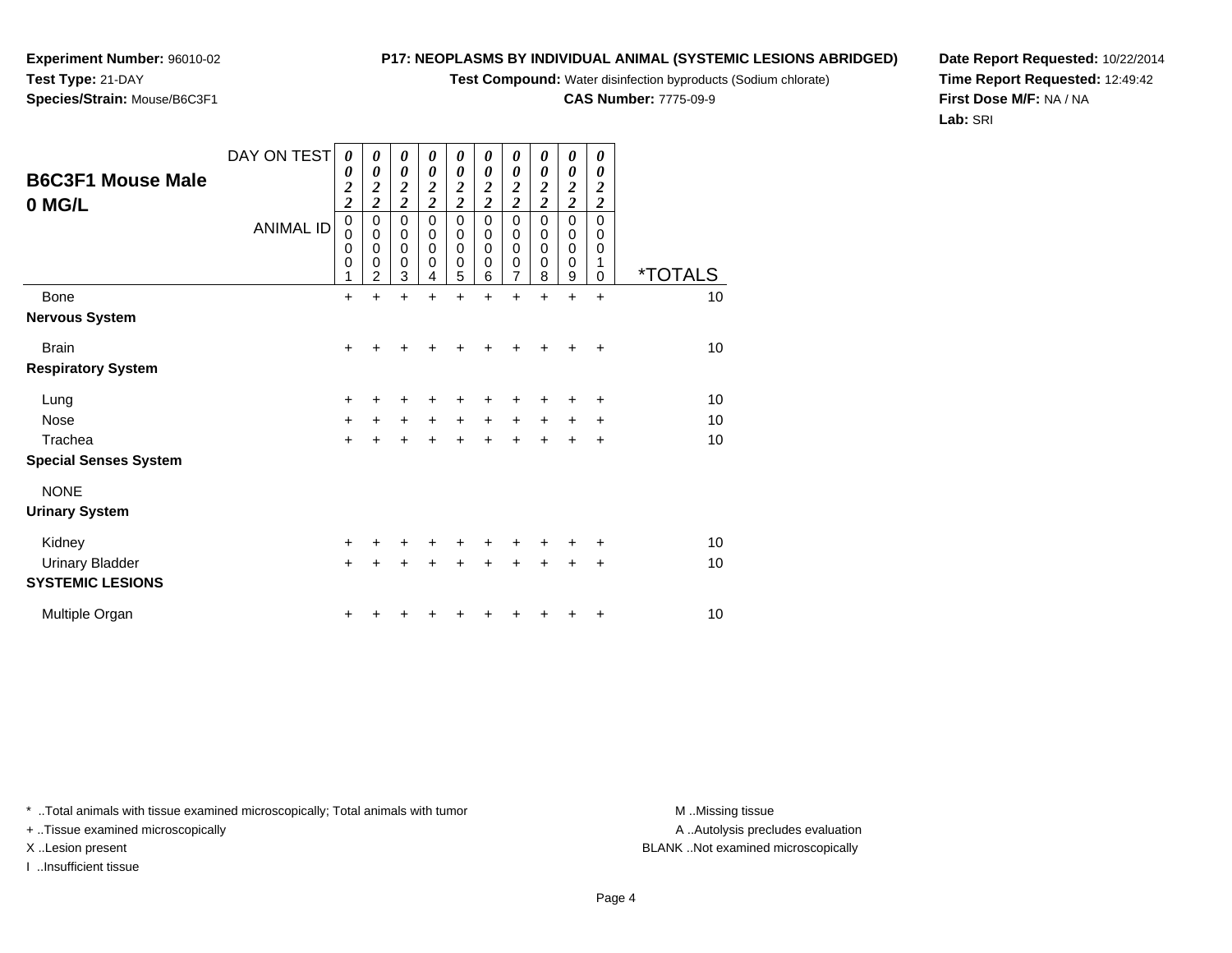**Test Compound:** Water disinfection byproducts (Sodium chlorate)

**CAS Number:** 7775-09-9

**Date Report Requested:** 10/22/2014**Time Report Requested:** 12:49:42**First Dose M/F:** NA / NA**Lab:** SRI

Page 4

A .. Autolysis precludes evaluation

\* ..Total animals with tissue examined microscopically; Total animals with tumor **M** ...Missing tissue M ...Missing tissue

+ ..Tissue examined microscopically

I ..Insufficient tissue

|                              | <b>ANIMAL ID</b> | 0<br>$\mathbf 0$<br>0<br>$\mathbf 0$ | 0<br>$\mathbf 0$<br>$\mathbf 0$<br>$\mathbf 0$<br>$\overline{2}$ | 0<br>$\pmb{0}$<br>$\pmb{0}$<br>$\mathbf 0$<br>3 | 0<br>$\mathbf 0$<br>$\mathbf 0$<br>0<br>4 | 0<br>$\pmb{0}$<br>$\pmb{0}$<br>$\mathbf 0$<br>5 | 0<br>$\mathbf 0$<br>$\mathbf 0$<br>$\mathbf 0$<br>6 | 0<br>$\mathbf 0$<br>$\pmb{0}$<br>$\pmb{0}$<br>$\overline{7}$ | 0<br>$\mathbf 0$<br>$\mathbf 0$<br>$\mathbf 0$<br>8 | 0<br>$\mathbf 0$<br>$\mathbf 0$<br>$\mathbf 0$<br>9 | 0<br>$\mathbf 0$<br>0<br>1<br>$\Omega$ | <i><b>*TOTALS</b></i> |
|------------------------------|------------------|--------------------------------------|------------------------------------------------------------------|-------------------------------------------------|-------------------------------------------|-------------------------------------------------|-----------------------------------------------------|--------------------------------------------------------------|-----------------------------------------------------|-----------------------------------------------------|----------------------------------------|-----------------------|
| <b>Bone</b>                  |                  | $\ddot{}$                            | $\ddot{}$                                                        | $\ddot{}$                                       | $\ddot{}$                                 | $\ddot{}$                                       | $\ddot{}$                                           | $\ddot{}$                                                    | $\ddot{}$                                           | $\ddot{}$                                           | $\ddot{}$                              | 10                    |
| <b>Nervous System</b>        |                  |                                      |                                                                  |                                                 |                                           |                                                 |                                                     |                                                              |                                                     |                                                     |                                        |                       |
| <b>Brain</b>                 |                  | $\ddot{}$                            | +                                                                | +                                               | +                                         | +                                               | +                                                   | +                                                            | +                                                   | $\ddot{}$                                           | $\ddot{}$                              | 10                    |
| <b>Respiratory System</b>    |                  |                                      |                                                                  |                                                 |                                           |                                                 |                                                     |                                                              |                                                     |                                                     |                                        |                       |
| Lung                         |                  | $\ddot{}$                            | +                                                                | +                                               | +                                         | +                                               | +                                                   | +                                                            | ٠                                                   | +                                                   | +                                      | 10                    |
| Nose                         |                  | $\ddot{}$                            | $+$                                                              | $\ddot{}$                                       | $\ddot{}$                                 | $\ddot{}$                                       | $\ddot{}$                                           | $\ddot{}$                                                    | $\ddot{}$                                           | $\ddot{}$                                           | $\ddot{}$                              | 10                    |
| Trachea                      |                  | $\ddot{}$                            | $\ddot{}$                                                        | $\ddot{}$                                       | $\ddot{}$                                 | $\ddot{}$                                       | $\ddot{}$                                           | $\ddot{}$                                                    | $\ddot{}$                                           | $\ddot{}$                                           | $\ddot{}$                              | 10                    |
| <b>Special Senses System</b> |                  |                                      |                                                                  |                                                 |                                           |                                                 |                                                     |                                                              |                                                     |                                                     |                                        |                       |
| <b>NONE</b>                  |                  |                                      |                                                                  |                                                 |                                           |                                                 |                                                     |                                                              |                                                     |                                                     |                                        |                       |
| <b>Urinary System</b>        |                  |                                      |                                                                  |                                                 |                                           |                                                 |                                                     |                                                              |                                                     |                                                     |                                        |                       |
| Kidney                       |                  | $\ddot{}$                            | $\pm$                                                            | +                                               | $+$                                       | $\pm$                                           | $\pm$                                               | $\pm$                                                        | +                                                   | +                                                   | ÷                                      | $10$                  |
| <b>Urinary Bladder</b>       |                  | $+$                                  | $\ddot{}$                                                        | $\ddot{}$                                       | $\ddot{}$                                 | $\ddot{}$                                       | $\ddot{}$                                           | $\ddot{}$                                                    | $\ddot{}$                                           | $\ddot{}$                                           | $\ddot{}$                              | 10                    |
| <b>SYSTEMIC LESIONS</b>      |                  |                                      |                                                                  |                                                 |                                           |                                                 |                                                     |                                                              |                                                     |                                                     |                                        |                       |
| Multiple Organ               |                  | +                                    |                                                                  |                                                 |                                           |                                                 |                                                     |                                                              |                                                     | +                                                   | ÷                                      | 10                    |
|                              |                  |                                      |                                                                  |                                                 |                                           |                                                 |                                                     |                                                              |                                                     |                                                     |                                        |                       |

DAY ON TEST

*0 0 2*

*0*

*0 2 2*

*0*

*0 2 2*

*2*

**Experiment Number:** 96010-02**Test Type:** 21-DAY**Species/Strain:** Mouse/B6C3F1

**B6C3F1 Mouse Male**

**0 MG/L**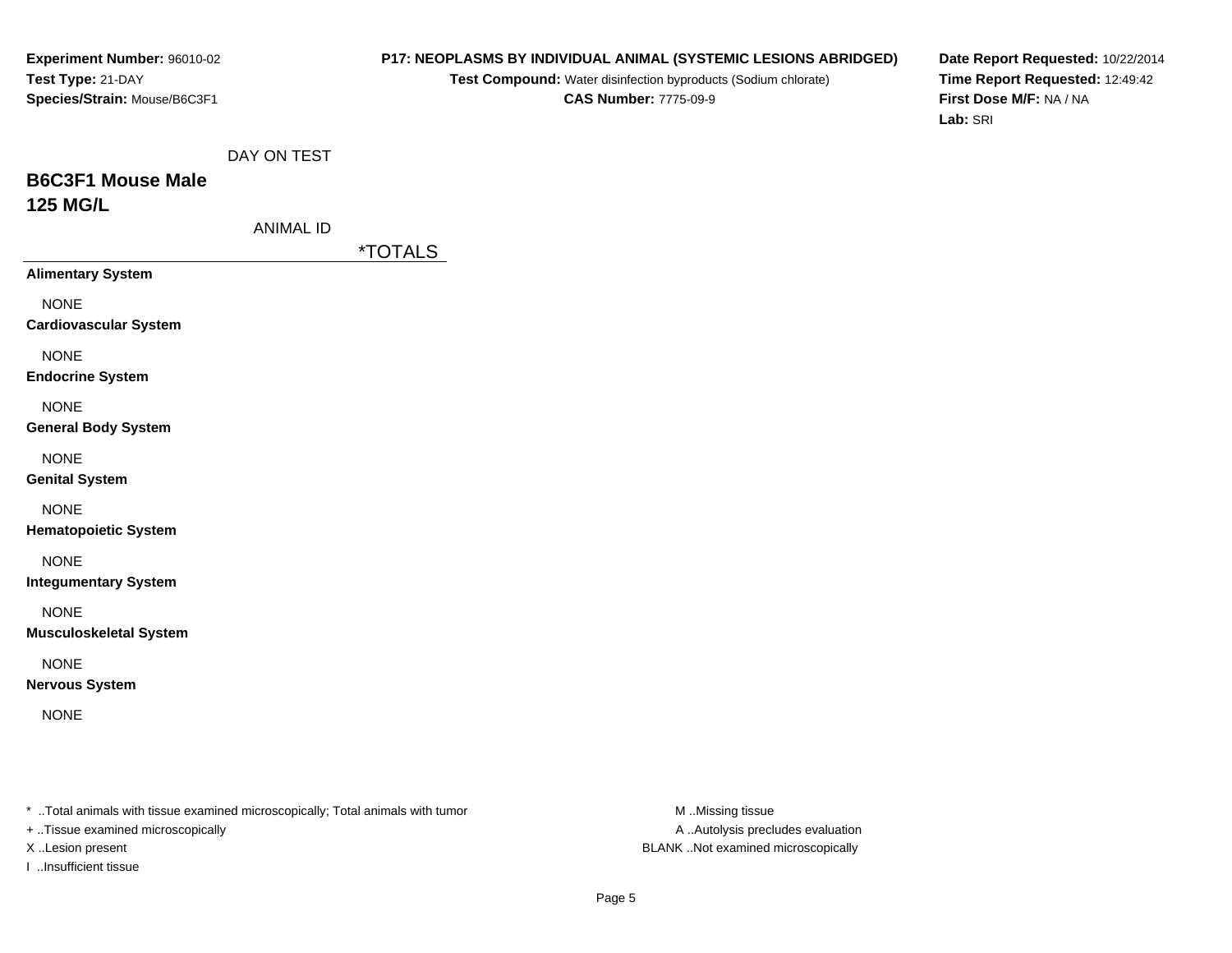#### **P17: NEOPLASMS BY INDIVIDUAL ANIMAL (SYSTEMIC LESIONS ABRIDGED)**

**Test Compound:** Water disinfection byproducts (Sodium chlorate)**CAS Number:** 7775-09-9

**Date Report Requested:** 10/22/2014**Time Report Requested:** 12:49:42**First Dose M/F:** NA / NA**Lab:** SRI

# **B6C3F1 Mouse Male125 MG/L**

|  |  | ANIMAL ID |  |
|--|--|-----------|--|
|--|--|-----------|--|

\*TOTALS

**Alimentary System**

NONE

**Cardiovascular System**

NONE

**Endocrine System**

NONE

#### **General Body System**

NONE

**Genital System**

NONE

**Hematopoietic System**

NONE

**Integumentary System**

NONE

**Musculoskeletal System**

NONE

**Nervous System**

NONE

\* ..Total animals with tissue examined microscopically; Total animals with tumor **M** ..Missing tissue M ..Missing tissue

+ ..Tissue examined microscopically

I ..Insufficient tissue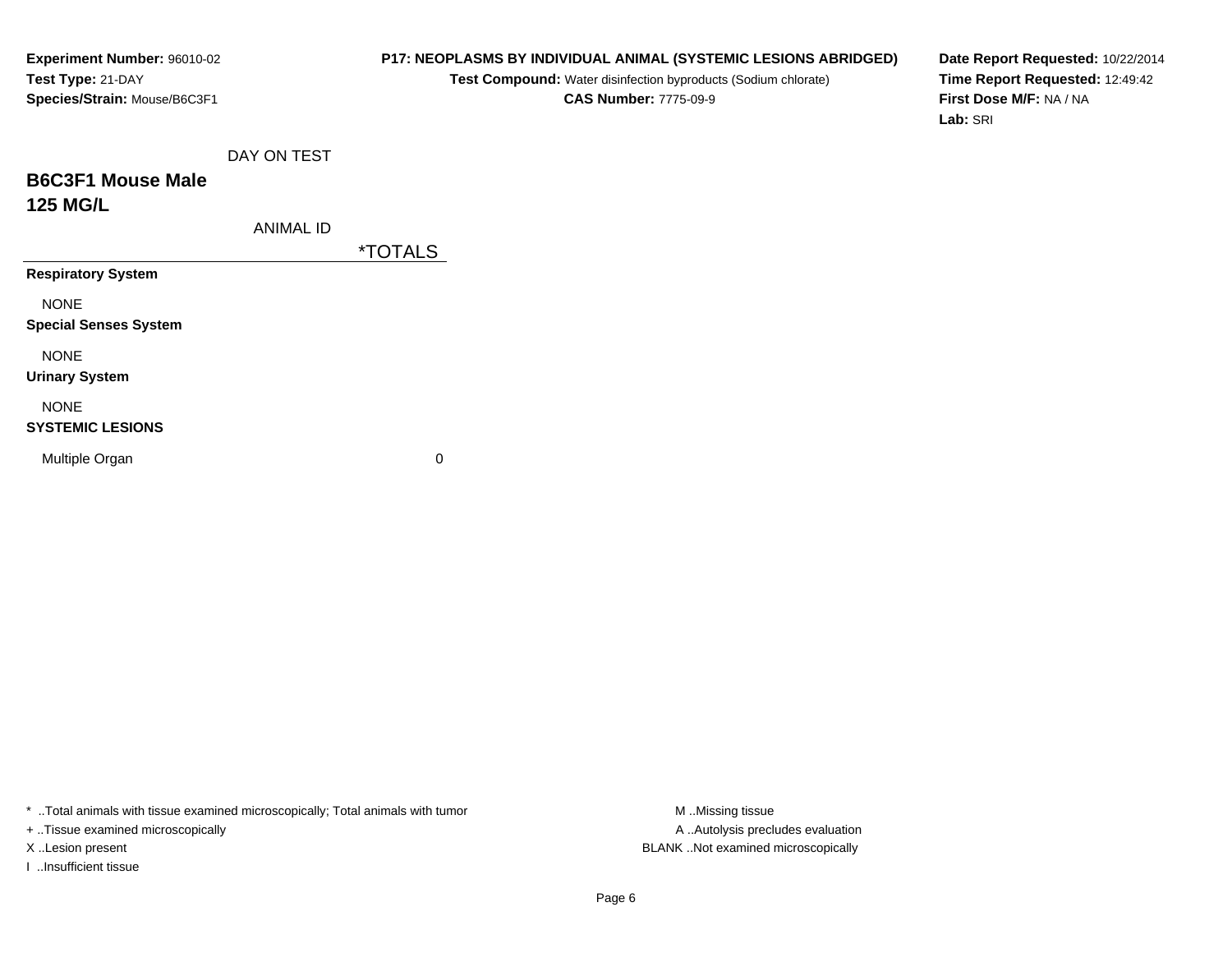# **P17: NEOPLASMS BY INDIVIDUAL ANIMAL (SYSTEMIC LESIONS ABRIDGED)**

**Test Compound:** Water disinfection byproducts (Sodium chlorate)**CAS Number:** 7775-09-9

**Date Report Requested:** 10/22/2014**Time Report Requested:** 12:49:42**First Dose M/F:** NA / NA**Lab:** SRI

# **B6C3F1 Mouse Male125 MG/L**

ANIMAL ID

\*TOTALS

**Respiratory System**

NONE

**Special Senses System**

NONE

**Urinary System**

# NONE

#### **SYSTEMIC LESIONS**

Multiple Organ

 $\mathbf n$  0

\* ..Total animals with tissue examined microscopically; Total animals with tumor **M** ...Missing tissue M ...Missing tissue

+ ..Tissue examined microscopically

I ..Insufficient tissue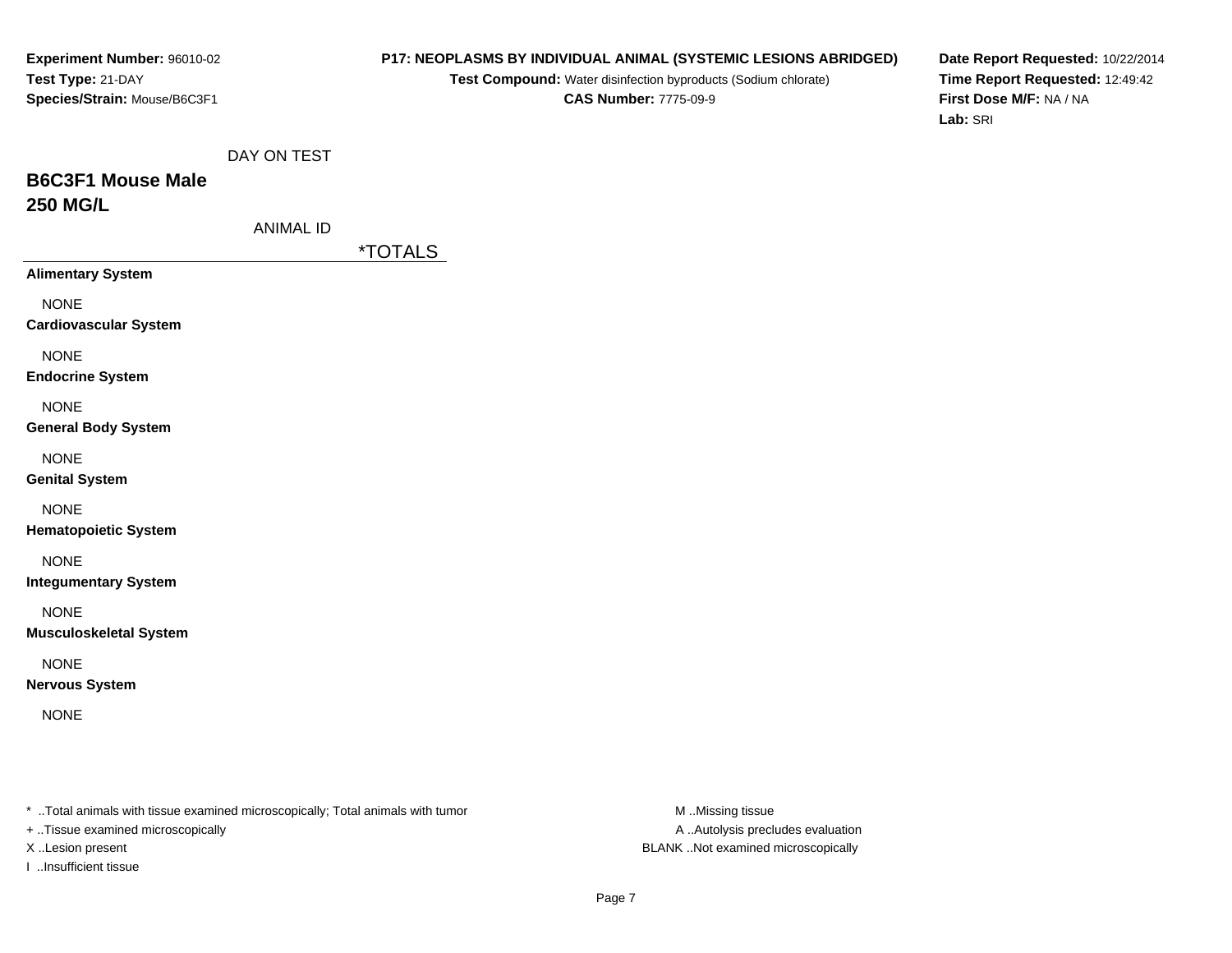#### **P17: NEOPLASMS BY INDIVIDUAL ANIMAL (SYSTEMIC LESIONS ABRIDGED)**

**Test Compound:** Water disinfection byproducts (Sodium chlorate)**CAS Number:** 7775-09-9

**Date Report Requested:** 10/22/2014**Time Report Requested:** 12:49:42**First Dose M/F:** NA / NA**Lab:** SRI

| DAY ON TEST |
|-------------|
|             |

# **B6C3F1 Mouse Male250 MG/L**

| ANIMAL ID |  |
|-----------|--|
|-----------|--|

\*TOTALS

**Alimentary System**

NONE

**Cardiovascular System**

NONE

**Endocrine System**

NONE

#### **General Body System**

NONE

**Genital System**

NONE

**Hematopoietic System**

NONE

**Integumentary System**

NONE

**Musculoskeletal System**

NONE

**Nervous System**

NONE

\* ..Total animals with tissue examined microscopically; Total animals with tumor **M** ..Missing tissue M ..Missing tissue

+ ..Tissue examined microscopically

I ..Insufficient tissue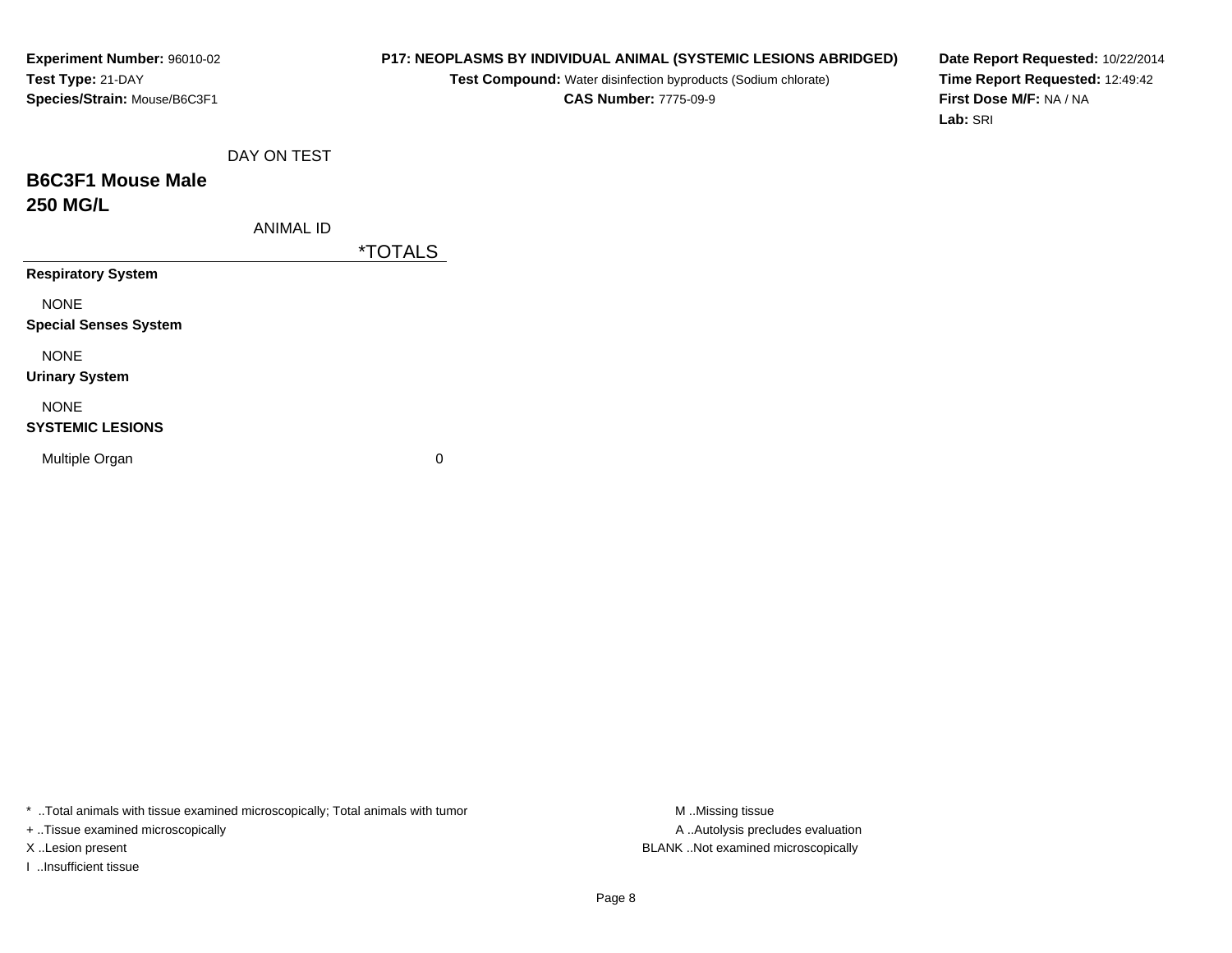# **P17: NEOPLASMS BY INDIVIDUAL ANIMAL (SYSTEMIC LESIONS ABRIDGED)**

**Test Compound:** Water disinfection byproducts (Sodium chlorate)**CAS Number:** 7775-09-9

**Date Report Requested:** 10/22/2014**Time Report Requested:** 12:49:42**First Dose M/F:** NA / NA**Lab:** SRI

# **B6C3F1 Mouse Male250 MG/L**

ANIMAL ID

\*TOTALS

**Respiratory System**

NONE

**Special Senses System**

NONE

**Urinary System**

# NONE

#### **SYSTEMIC LESIONS**

Multiple Organ

 $\mathbf n$  0

\* ..Total animals with tissue examined microscopically; Total animals with tumor **M** ...Missing tissue M ...Missing tissue

+ ..Tissue examined microscopically

I ..Insufficient tissue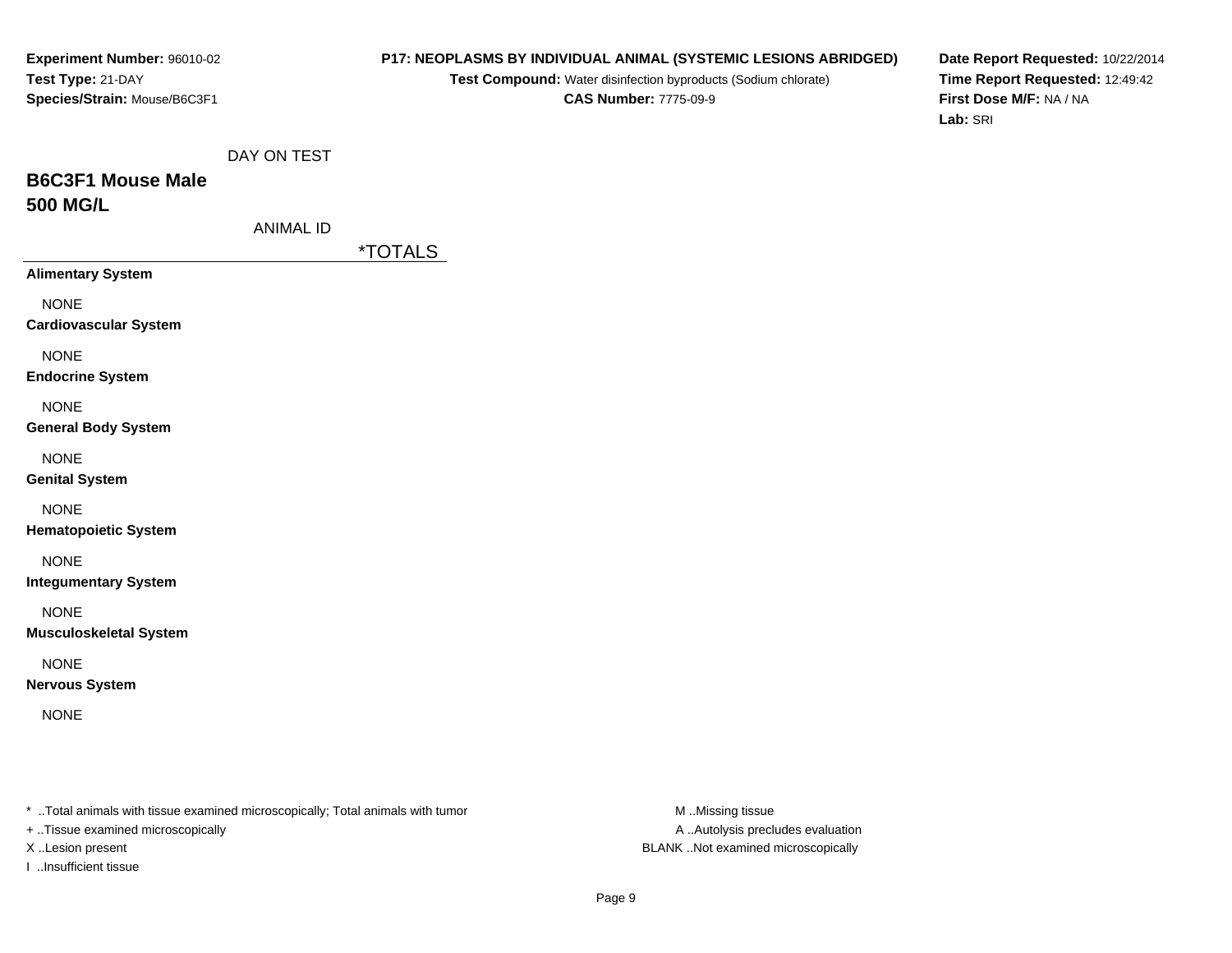#### **P17: NEOPLASMS BY INDIVIDUAL ANIMAL (SYSTEMIC LESIONS ABRIDGED)**

**Test Compound:** Water disinfection byproducts (Sodium chlorate)**CAS Number:** 7775-09-9

**Date Report Requested:** 10/22/2014**Time Report Requested:** 12:49:42**First Dose M/F:** NA / NA**Lab:** SRI

# **B6C3F1 Mouse Male500 MG/L**

\*TOTALS

**Alimentary System**

NONE

**Cardiovascular System**

NONE

**Endocrine System**

NONE

#### **General Body System**

NONE

**Genital System**

NONE

**Hematopoietic System**

NONE

**Integumentary System**

NONE

**Musculoskeletal System**

NONE

**Nervous System**

NONE

\* ..Total animals with tissue examined microscopically; Total animals with tumor **M** ..Missing tissue M ..Missing tissue

+ ..Tissue examined microscopically

I ..Insufficient tissue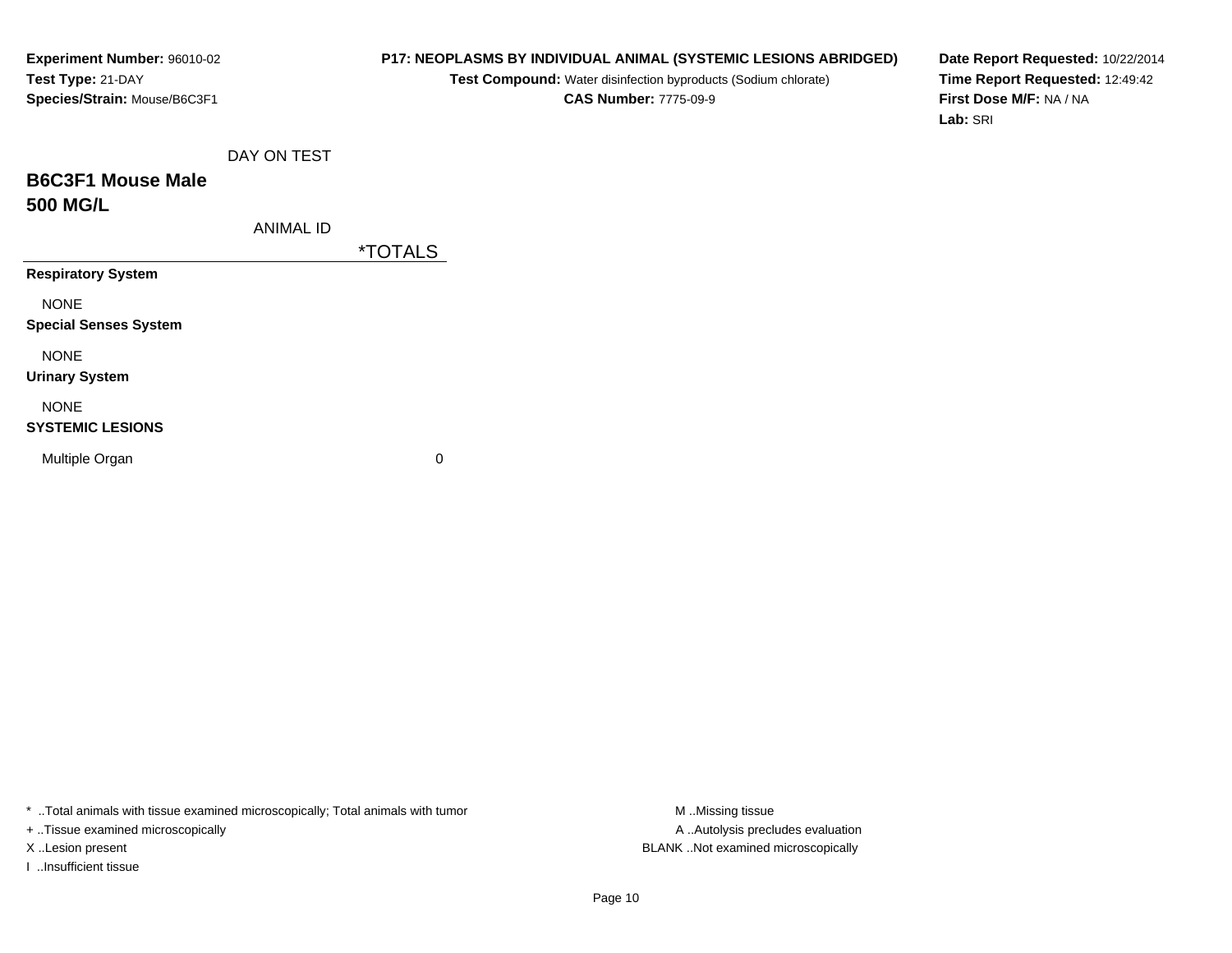# **P17: NEOPLASMS BY INDIVIDUAL ANIMAL (SYSTEMIC LESIONS ABRIDGED)**

**Test Compound:** Water disinfection byproducts (Sodium chlorate)**CAS Number:** 7775-09-9

**Date Report Requested:** 10/22/2014**Time Report Requested:** 12:49:42**First Dose M/F:** NA / NA**Lab:** SRI

|  | DAY ON TEST |  |
|--|-------------|--|
|  |             |  |

# **B6C3F1 Mouse Male500 MG/L**

ANIMAL ID

\*TOTALS

**Respiratory System**

NONE

**Special Senses System**

NONE

**Urinary System**

# NONE

#### **SYSTEMIC LESIONS**

Multiple Organ

 $\mathbf n$  0

\* ..Total animals with tissue examined microscopically; Total animals with tumor **M** ...Missing tissue M ...Missing tissue

+ ..Tissue examined microscopically

I ..Insufficient tissue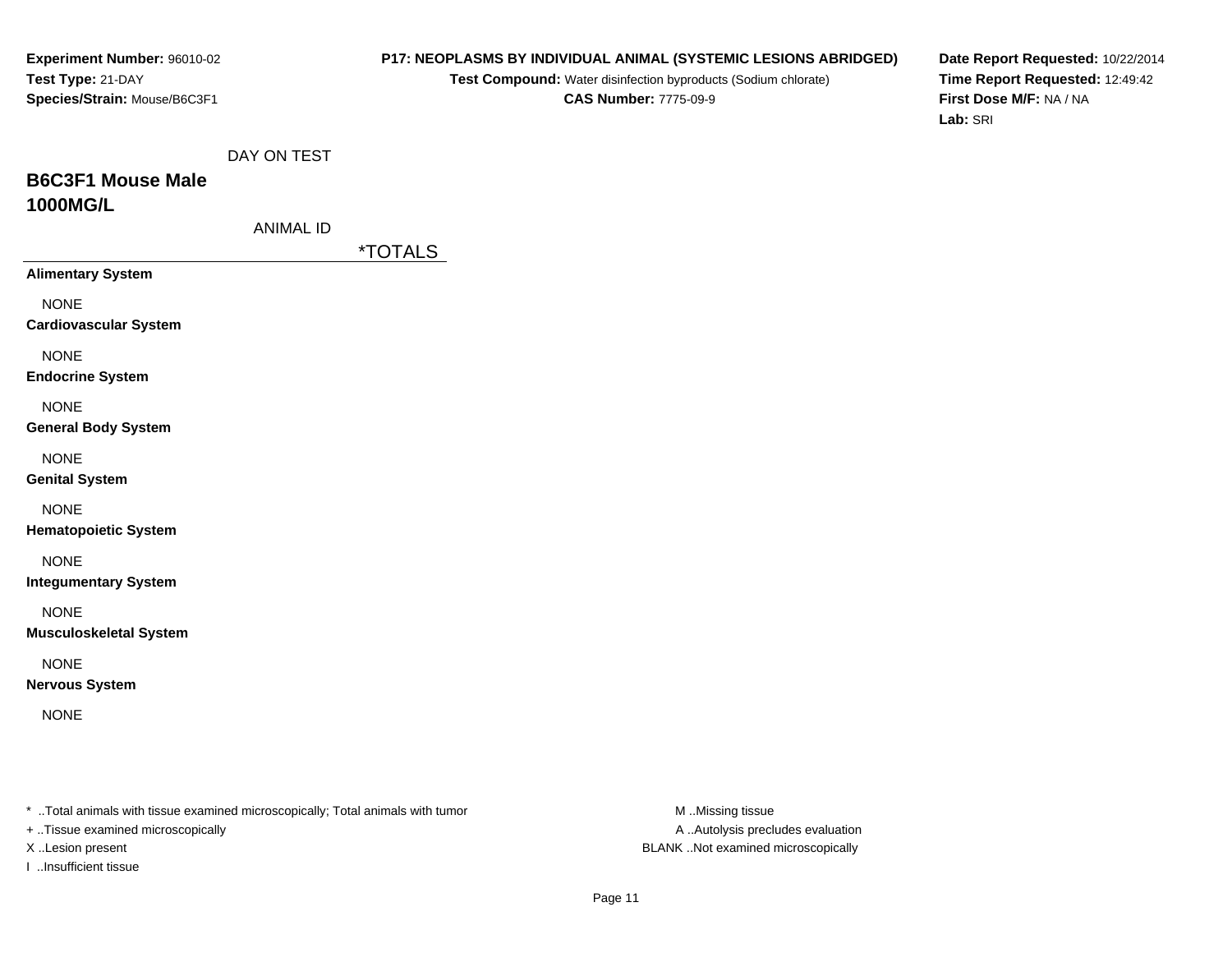# **P17: NEOPLASMS BY INDIVIDUAL ANIMAL (SYSTEMIC LESIONS ABRIDGED)**

**Test Compound:** Water disinfection byproducts (Sodium chlorate)**CAS Number:** 7775-09-9

**Date Report Requested:** 10/22/2014**Time Report Requested:** 12:49:42**First Dose M/F:** NA / NA**Lab:** SRI

| DAY ON TEST |  |  |
|-------------|--|--|
|-------------|--|--|

# **B6C3F1 Mouse Male1000MG/L**

| ANIMAL ID |  |
|-----------|--|
|           |  |

\*TOTALS

**Alimentary System**

NONE

**Cardiovascular System**

NONE

**Endocrine System**

NONE

#### **General Body System**

NONE

**Genital System**

NONE

**Hematopoietic System**

NONE

**Integumentary System**

NONE

**Musculoskeletal System**

NONE

**Nervous System**

NONE

\* ..Total animals with tissue examined microscopically; Total animals with tumor **M** ..Missing tissue M ..Missing tissue

+ ..Tissue examined microscopically

I ..Insufficient tissue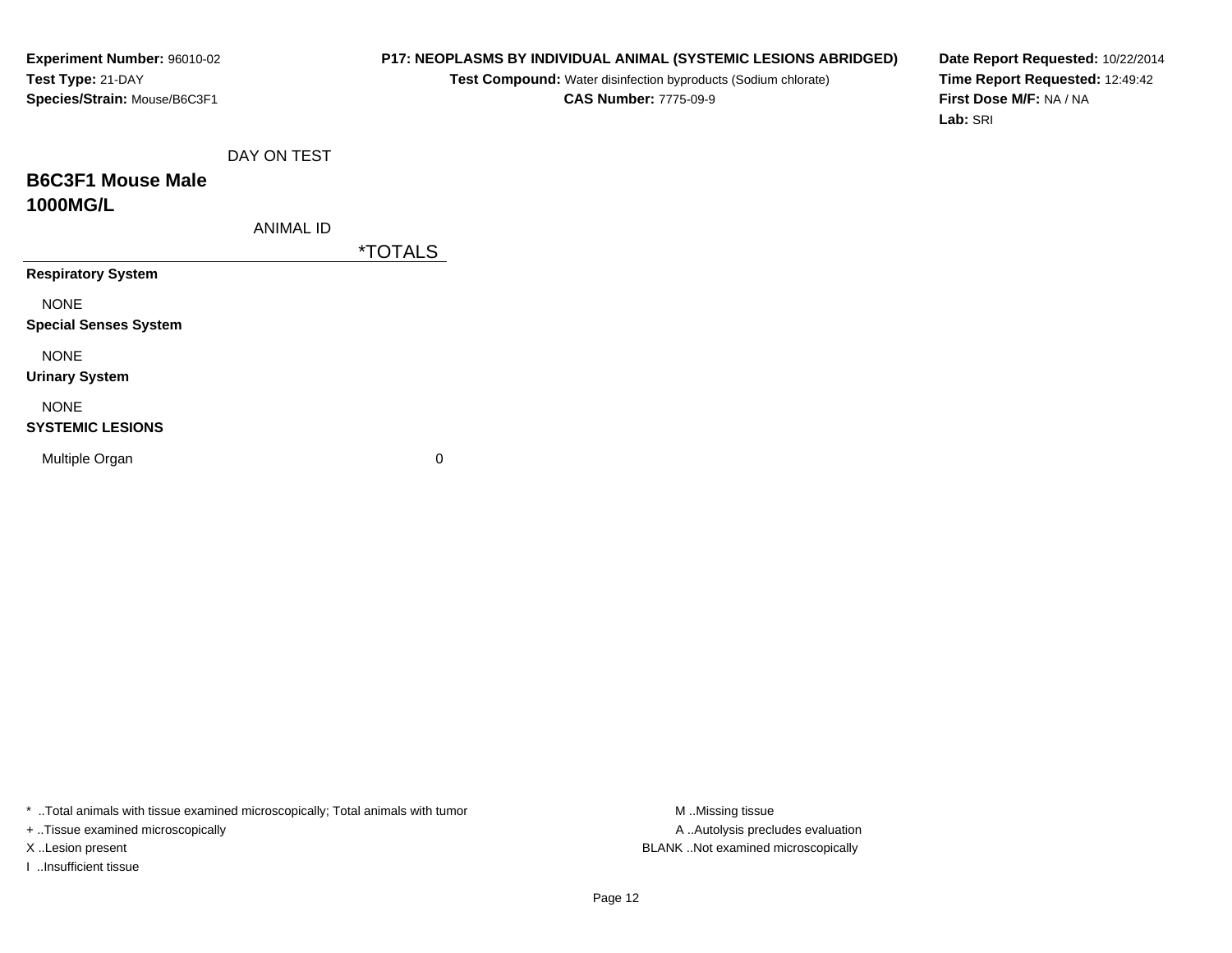# **P17: NEOPLASMS BY INDIVIDUAL ANIMAL (SYSTEMIC LESIONS ABRIDGED)**

**Test Compound:** Water disinfection byproducts (Sodium chlorate)**CAS Number:** 7775-09-9

**Date Report Requested:** 10/22/2014**Time Report Requested:** 12:49:42**First Dose M/F:** NA / NA**Lab:** SRI

|  | DAY ON TEST |
|--|-------------|
|  |             |

# **B6C3F1 Mouse Male1000MG/L**

ANIMAL ID

\*TOTALS

**Respiratory System**

NONE

**Special Senses System**

NONE

**Urinary System**

# NONE

#### **SYSTEMIC LESIONS**

Multiple Organ

 $\mathbf n$  0

\* ..Total animals with tissue examined microscopically; Total animals with tumor **M** ...Missing tissue M ...Missing tissue

+ ..Tissue examined microscopically

I ..Insufficient tissue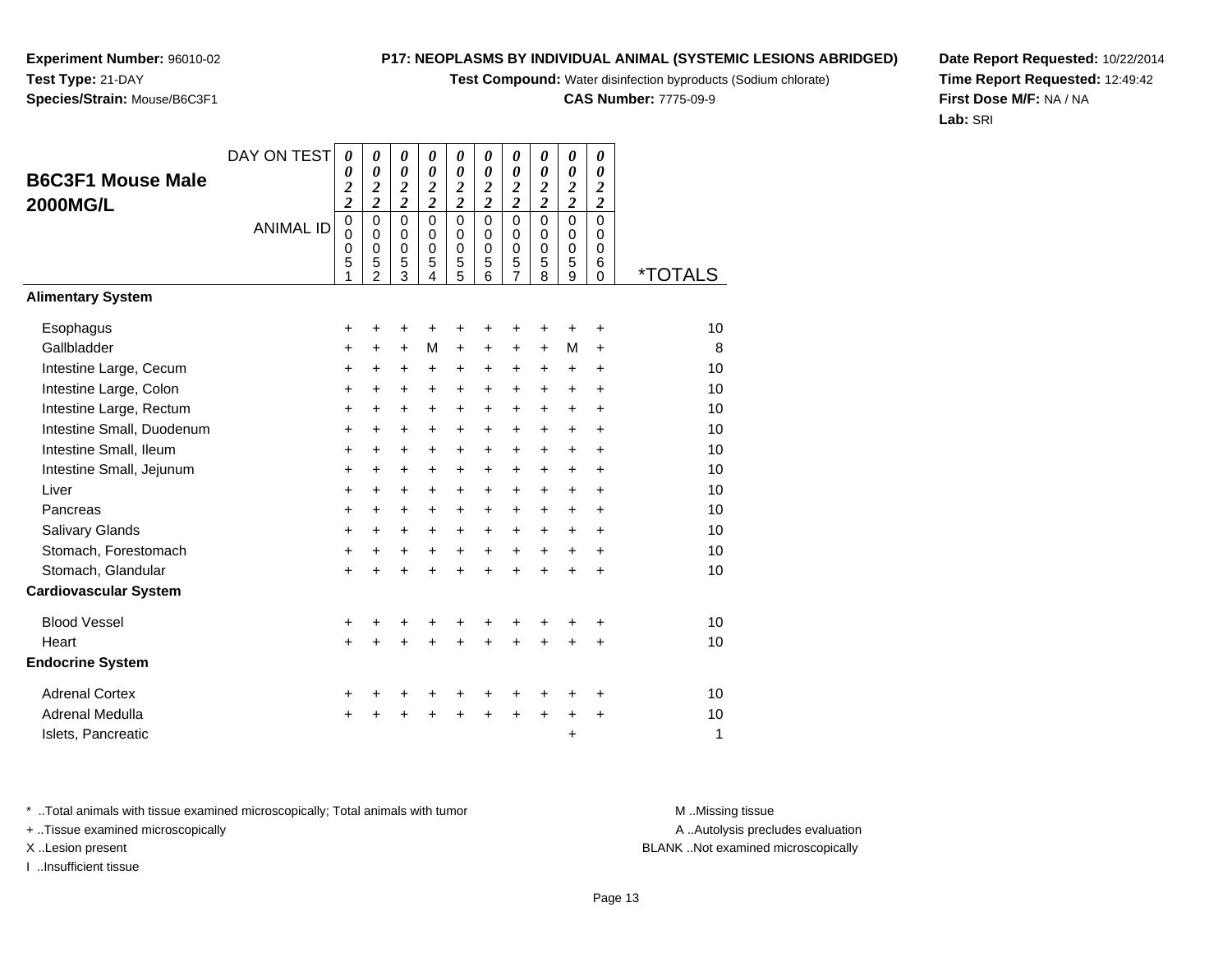**Test Compound:** Water disinfection byproducts (Sodium chlorate)

**CAS Number:** 7775-09-9

**Date Report Requested:** 10/22/2014**Time Report Requested:** 12:49:42**First Dose M/F:** NA / NA**Lab:** SRI

\* ..Total animals with tissue examined microscopically; Total animals with tumor **M** ..Missing tissue M ..Missing tissue

+ ..Tissue examined microscopically

I ..Insufficient tissue

|                              | <b>ANIMAL ID</b> | 0<br>0<br>0<br>5 | 0<br>0<br>0<br>5<br>2 | 0<br>0<br>0<br>5<br>3 | 0<br>0<br>0<br>5<br>4 | 0<br>$\Omega$<br>$\Omega$<br>5<br>5 | 0<br>0<br>0<br>5<br>6 | 0<br>0<br>0<br>5 | 0<br>$\mathbf 0$<br>0<br>5<br>8 | 0<br>$\Omega$<br>0<br>5<br>9 | 0<br>0<br>$\Omega$<br>6<br>$\Omega$ | <i><b>*TOTALS</b></i> |
|------------------------------|------------------|------------------|-----------------------|-----------------------|-----------------------|-------------------------------------|-----------------------|------------------|---------------------------------|------------------------------|-------------------------------------|-----------------------|
| <b>Alimentary System</b>     |                  |                  |                       |                       |                       |                                     |                       |                  |                                 |                              |                                     |                       |
| Esophagus                    |                  | +                |                       |                       |                       |                                     |                       |                  |                                 |                              | +                                   | 10                    |
| Gallbladder                  |                  | $\pm$            | $\ddot{}$             | $\ddot{}$             | M                     | $\ddot{}$                           | $\ddot{}$             | $\ddot{}$        | $+$                             | M                            | $\ddot{}$                           | 8                     |
| Intestine Large, Cecum       |                  | $\pm$            | $\ddot{}$             | ٠                     | $\pm$                 | +                                   | $\pm$                 | $\ddot{}$        | $\pm$                           | $\ddot{}$                    | $\ddot{}$                           | 10                    |
| Intestine Large, Colon       |                  | $\ddot{}$        | $\ddot{}$             | $\div$                | $\ddot{}$             | +                                   | $\ddot{}$             | $\ddot{}$        | $\ddot{}$                       | $\ddot{}$                    | $\ddot{}$                           | 10                    |
| Intestine Large, Rectum      |                  | $\pm$            | $\ddot{}$             | $\ddot{}$             | $\pm$                 | $\ddot{}$                           | $\ddot{}$             | $\pm$            | $\pm$                           | $\ddot{}$                    | ÷                                   | 10                    |
| Intestine Small, Duodenum    |                  | ٠                | $\ddot{}$             | $\pm$                 | $\pm$                 | +                                   | $\pm$                 | $\ddot{}$        | ٠                               | $\ddot{}$                    | ÷                                   | 10                    |
| Intestine Small, Ileum       |                  | $\pm$            | $\ddot{}$             | ٠                     | +                     | +                                   | +                     | $\ddot{}$        | $\pm$                           | $\ddot{}$                    | ÷                                   | 10                    |
| Intestine Small, Jejunum     |                  | $\pm$            | +                     | $\pm$                 | $\pm$                 | +                                   | +                     | $\ddot{}$        | $\pm$                           | $\ddot{}$                    | $\ddot{}$                           | 10                    |
| Liver                        |                  | $\pm$            | $\ddot{}$             | $\pm$                 | $\pm$                 | +                                   | $\ddot{}$             | $\ddot{}$        | $+$                             | $\ddot{}$                    | $\ddot{}$                           | 10                    |
| Pancreas                     |                  | $\pm$            | $\ddot{}$             | $\ddot{}$             | +                     | +                                   | $\ddot{}$             | $\ddot{}$        | $\ddot{}$                       | $\ddot{}$                    | $\ddot{}$                           | 10                    |
| <b>Salivary Glands</b>       |                  | $\pm$            | $\ddot{}$             | $\ddot{}$             | $\ddot{}$             | +                                   | $\ddot{}$             | $\ddot{}$        | $\ddot{}$                       | $\ddot{}$                    | $\ddot{}$                           | 10                    |
| Stomach, Forestomach         |                  | $\ddot{}$        | $\ddot{}$             | $\ddot{}$             | $\ddot{}$             | $\ddot{}$                           | $\ddot{}$             | $\ddot{}$        | $\pm$                           | $\ddot{}$                    | ÷                                   | 10                    |
| Stomach, Glandular           |                  | $\ddot{}$        | $\ddot{}$             |                       | +                     | +                                   | +                     | $\div$           | +                               | $\ddot{}$                    | ÷                                   | 10                    |
| <b>Cardiovascular System</b> |                  |                  |                       |                       |                       |                                     |                       |                  |                                 |                              |                                     |                       |
| <b>Rinnd Vessel</b>          |                  | ᆠ                | ᆠ                     | ᆠ                     | ᆠ                     | ┻                                   | ┻                     | ┷                | ∸                               | ᆠ                            | ᆠ                                   | 1 <sub>0</sub>        |

*0*

*0*

*0 2 2*

*0*

*0*

*0*

*0*

*0 2 2*

*0*

*0 2 2*

*0 2 2*

*0 2 2*

*0 2 2*

*0 2 2*

DAY ON TEST

| Cardiovascular System   |             |                     |  |                     |  |   |     |    |
|-------------------------|-------------|---------------------|--|---------------------|--|---|-----|----|
| <b>Blood Vessel</b>     |             | + + + + + + + + +   |  |                     |  |   | $+$ | 10 |
| Heart                   |             | + + + + + + + + + + |  |                     |  |   |     | 10 |
| <b>Endocrine System</b> |             |                     |  |                     |  |   |     |    |
| <b>Adrenal Cortex</b>   |             | + + + + + + + + +   |  |                     |  |   | $+$ | 10 |
| Adrenal Medulla         | $+$ $+$ $+$ |                     |  | $+$ $+$ $+$ $+$ $+$ |  |   | $+$ | 10 |
| Islets, Pancreatic      |             |                     |  |                     |  | ÷ |     | 1  |
|                         |             |                     |  |                     |  |   |     |    |

A .. Autolysis precludes evaluation

X ..Lesion present BLANK ..Not examined microscopically

**Experiment Number:** 96010-02**Test Type:** 21-DAY**Species/Strain:** Mouse/B6C3F1

**B6C3F1 Mouse Male**

**2000MG/L**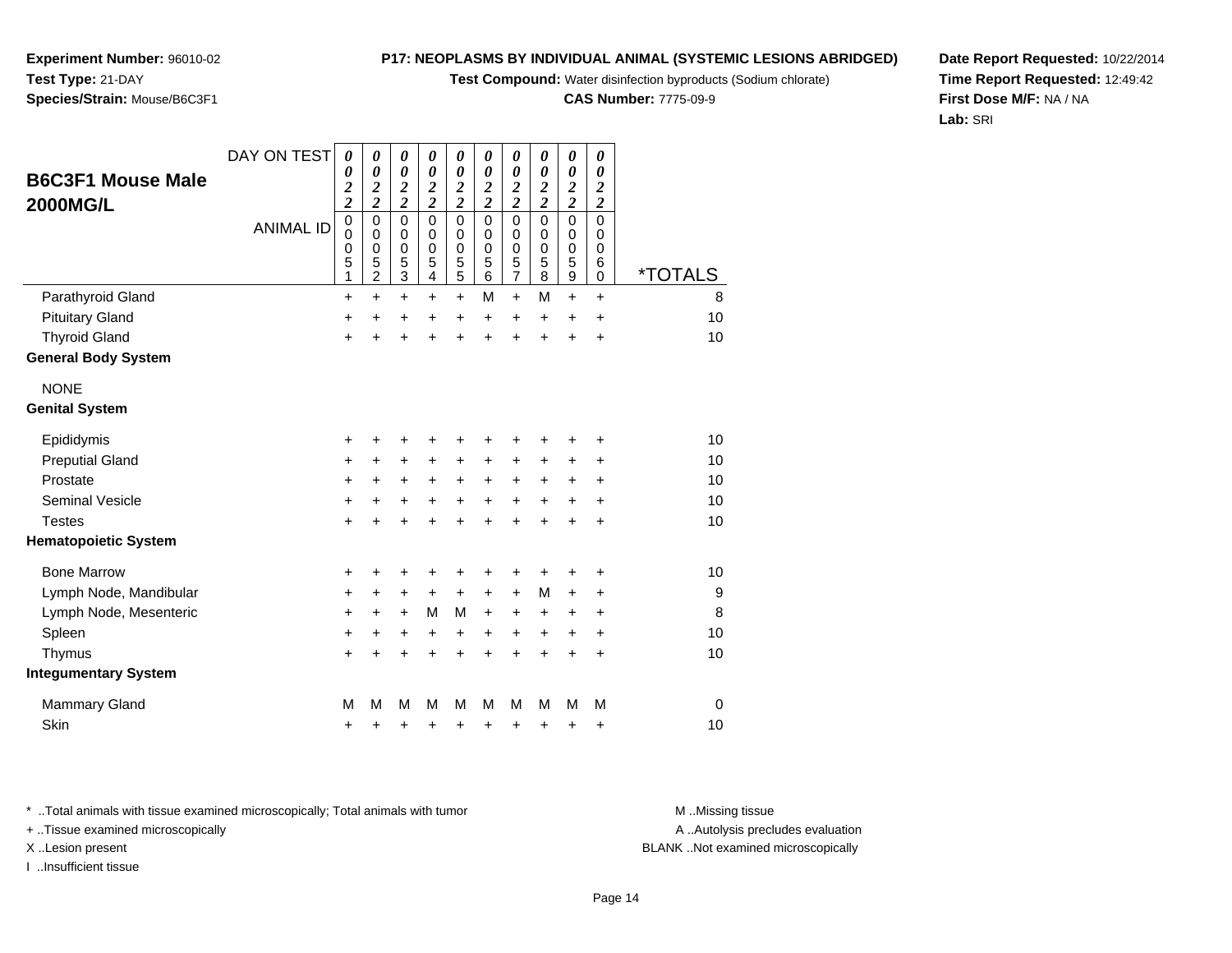**Test Compound:** Water disinfection byproducts (Sodium chlorate)

**CAS Number:** 7775-09-9

**Date Report Requested:** 10/22/2014**Time Report Requested:** 12:49:42**First Dose M/F:** NA / NA**Lab:** SRI

| <b>B6C3F1 Mouse Male</b><br><b>2000MG/L</b> | DAY ON TEST      | 0<br>0<br>$\overline{\mathbf{c}}$<br>$\overline{\mathbf{c}}$ | 0<br>0<br>$\overline{\mathbf{c}}$<br>$\overline{c}$ | 0<br>0<br>$\overline{\mathbf{c}}$<br>$\overline{\mathbf{c}}$ | 0<br>0<br>$\overline{\mathbf{c}}$<br>$\overline{\mathbf{c}}$ | 0<br>0<br>$\overline{\mathbf{c}}$<br>$\overline{\mathbf{c}}$ | 0<br>0<br>$\boldsymbol{2}$<br>$\overline{\mathbf{c}}$ | 0<br>0<br>$\overline{\mathbf{c}}$<br>$\overline{\mathbf{c}}$ | 0<br>0<br>$\overline{\mathbf{c}}$<br>$\overline{\mathbf{c}}$ | 0<br>0<br>$\boldsymbol{2}$<br>$\overline{\mathbf{c}}$ | 0<br>0<br>$\overline{2}$<br>$\overline{\mathbf{c}}$ |                       |
|---------------------------------------------|------------------|--------------------------------------------------------------|-----------------------------------------------------|--------------------------------------------------------------|--------------------------------------------------------------|--------------------------------------------------------------|-------------------------------------------------------|--------------------------------------------------------------|--------------------------------------------------------------|-------------------------------------------------------|-----------------------------------------------------|-----------------------|
|                                             | <b>ANIMAL ID</b> | $\pmb{0}$<br>0<br>0<br>5<br>1                                | 0<br>0<br>0<br>5<br>$\overline{c}$                  | 0<br>0<br>0<br>5<br>3                                        | $\mathbf 0$<br>0<br>0<br>5<br>4                              | $\mathbf 0$<br>0<br>0<br>5<br>5                              | $\overline{0}$<br>0<br>0<br>5<br>6                    | $\Omega$<br>0<br>0<br>5<br>$\overline{7}$                    | $\Omega$<br>0<br>0<br>5<br>8                                 | $\mathbf 0$<br>0<br>$\mathbf 0$<br>5<br>9             | $\Omega$<br>0<br>0<br>6<br>0                        | <i><b>*TOTALS</b></i> |
| Parathyroid Gland                           |                  | $\ddot{}$                                                    | $\ddot{}$                                           | +                                                            | +                                                            | $\ddot{}$                                                    | М                                                     | +                                                            | M                                                            | +                                                     | $\ddot{}$                                           | 8                     |
| <b>Pituitary Gland</b>                      |                  | $\ddot{}$                                                    | +                                                   | +                                                            | +                                                            | +                                                            | +                                                     | $\ddot{}$                                                    | +                                                            | $\ddot{}$                                             | $\ddot{}$                                           | 10                    |
| <b>Thyroid Gland</b>                        |                  | $\ddot{}$                                                    | +                                                   | $\ddot{}$                                                    | +                                                            | $\ddot{}$                                                    | +                                                     | $\ddot{}$                                                    | $\ddot{}$                                                    | $\ddot{}$                                             | $\ddot{}$                                           | 10                    |
| <b>General Body System</b>                  |                  |                                                              |                                                     |                                                              |                                                              |                                                              |                                                       |                                                              |                                                              |                                                       |                                                     |                       |
| <b>NONE</b>                                 |                  |                                                              |                                                     |                                                              |                                                              |                                                              |                                                       |                                                              |                                                              |                                                       |                                                     |                       |
| <b>Genital System</b>                       |                  |                                                              |                                                     |                                                              |                                                              |                                                              |                                                       |                                                              |                                                              |                                                       |                                                     |                       |
| Epididymis                                  |                  | +                                                            | +                                                   | +                                                            | +                                                            | +                                                            | +                                                     | +                                                            | +                                                            | +                                                     | +                                                   | 10                    |
| <b>Preputial Gland</b>                      |                  | +                                                            | +                                                   | +                                                            | +                                                            | +                                                            | +                                                     | +                                                            | +                                                            | +                                                     | +                                                   | 10                    |
| Prostate                                    |                  | $\ddot{}$                                                    | $\ddot{}$                                           | +                                                            | $\ddot{}$                                                    | +                                                            | +                                                     | +                                                            | +                                                            | +                                                     | +                                                   | 10                    |
| <b>Seminal Vesicle</b>                      |                  | +                                                            | $\ddot{}$                                           | +                                                            | $\ddot{}$                                                    | +                                                            | +                                                     | +                                                            | $\ddot{}$                                                    | +                                                     | $\ddot{}$                                           | 10                    |
| <b>Testes</b>                               |                  | +                                                            | +                                                   | $\ddot{}$                                                    | $\ddot{}$                                                    | $\ddot{}$                                                    | $\ddot{}$                                             | $\ddot{}$                                                    | $\ddot{}$                                                    | $\ddot{}$                                             | $\ddot{}$                                           | 10                    |
| <b>Hematopoietic System</b>                 |                  |                                                              |                                                     |                                                              |                                                              |                                                              |                                                       |                                                              |                                                              |                                                       |                                                     |                       |
| <b>Bone Marrow</b>                          |                  | +                                                            | +                                                   | +                                                            | +                                                            | +                                                            |                                                       | +                                                            |                                                              | +                                                     | +                                                   | 10                    |
| Lymph Node, Mandibular                      |                  | +                                                            | +                                                   | +                                                            | +                                                            | $\ddot{}$                                                    | +                                                     | $\ddot{}$                                                    | M                                                            | +                                                     | +                                                   | 9                     |
| Lymph Node, Mesenteric                      |                  | $\ddot{}$                                                    | ÷                                                   | $\pm$                                                        | М                                                            | м                                                            | $\ddot{}$                                             | +                                                            | $\ddot{}$                                                    | ٠                                                     | ٠                                                   | 8                     |
| Spleen                                      |                  | $\ddot{}$                                                    | $\ddot{}$                                           | +                                                            | +                                                            | +                                                            | +                                                     | +                                                            | $\ddot{}$                                                    | +                                                     | $\ddot{}$                                           | 10                    |
| Thymus                                      |                  | +                                                            | $\ddot{}$                                           | $\ddot{}$                                                    | $\ddot{}$                                                    | $\ddot{}$                                                    | $\ddot{}$                                             | $\ddot{}$                                                    | $\ddot{}$                                                    | $\ddot{}$                                             | $\ddot{}$                                           | 10                    |
| <b>Integumentary System</b>                 |                  |                                                              |                                                     |                                                              |                                                              |                                                              |                                                       |                                                              |                                                              |                                                       |                                                     |                       |
| <b>Mammary Gland</b>                        |                  | M                                                            | М                                                   | М                                                            | м                                                            | м                                                            | М                                                     | М                                                            | M                                                            | M                                                     | M                                                   | 0                     |
| Skin                                        |                  | +                                                            | +                                                   | +                                                            | +                                                            | +                                                            | +                                                     | +                                                            | +                                                            | +                                                     | +                                                   | 10                    |
|                                             |                  |                                                              |                                                     |                                                              |                                                              |                                                              |                                                       |                                                              |                                                              |                                                       |                                                     |                       |

\* ..Total animals with tissue examined microscopically; Total animals with tumor **M** . Missing tissue M ..Missing tissue

+ ..Tissue examined microscopically

**Experiment Number:** 96010-02

**Species/Strain:** Mouse/B6C3F1

**Test Type:** 21-DAY

I ..Insufficient tissue

A ..Autolysis precludes evaluation

X ..Lesion present BLANK ..Not examined microscopically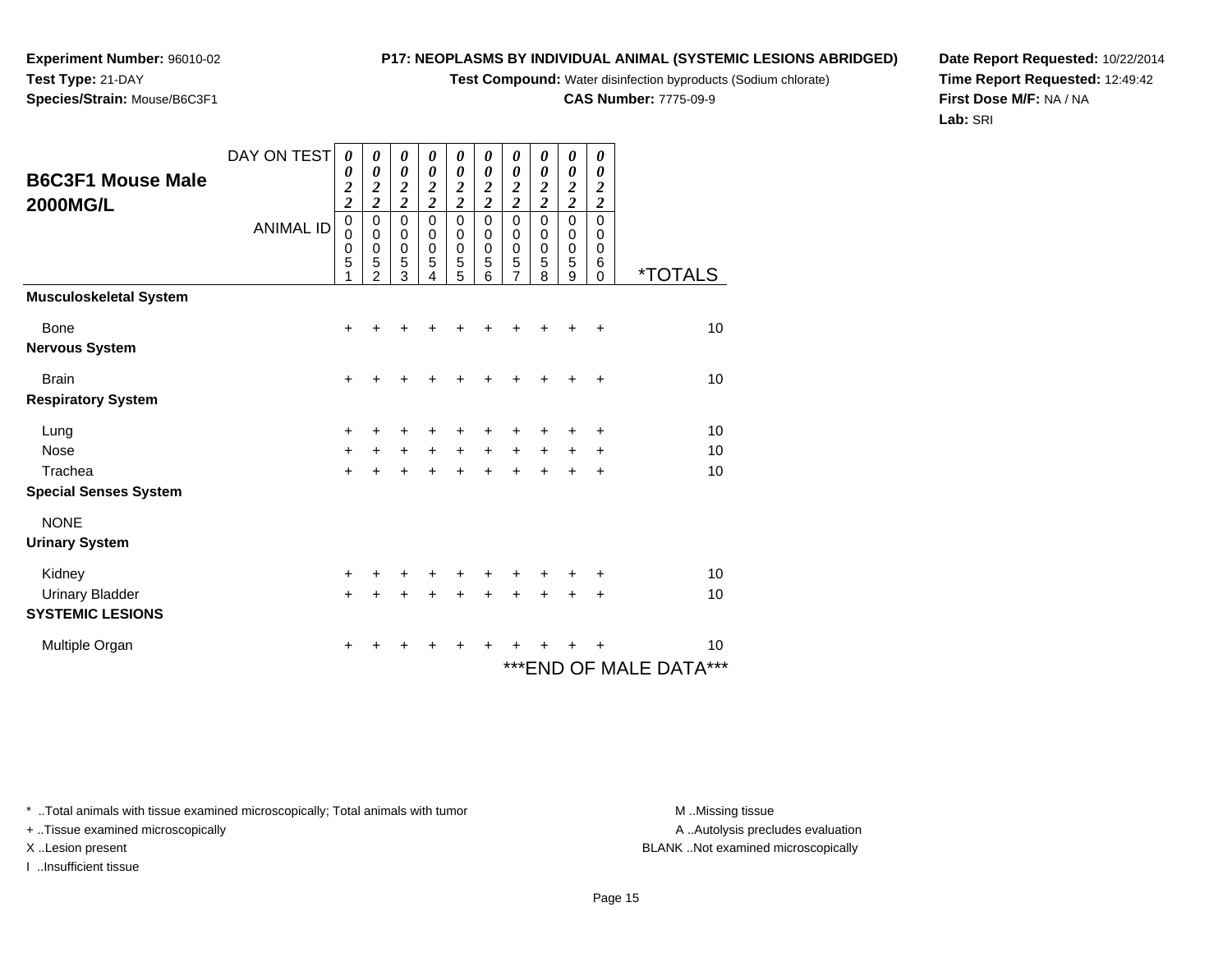**Test Compound:** Water disinfection byproducts (Sodium chlorate)

**CAS Number:** 7775-09-9

**Date Report Requested:** 10/22/2014**Time Report Requested:** 12:49:42**First Dose M/F:** NA / NA**Lab:** SRI

A .. Autolysis precludes evaluation

\* ..Total animals with tissue examined microscopically; Total animals with tumor **M** ..Missing tissue M ..Missing tissue

+ ..Tissue examined microscopically

X ..Lesion present BLANK ..Not examined microscopically

I ..Insufficient tissue

DAY ON TEST

*0*

*0*

*0 2 2*

*0 2 2*

|                               | <b>ANIMAL ID</b> | 0<br>0<br>0 | 0<br>0<br>$\boldsymbol{0}$ | 0<br>$\pmb{0}$<br>$\frac{0}{5}$ | 0<br>$\mathbf 0$<br>$\mathbf 0$ | 0<br>$\mathbf 0$<br>$\mathbf 0$ | 0<br>$\mathbf 0$<br>$\mathbf 0$ | 0<br>$\mathbf 0$<br>$\pmb{0}$    | 0<br>$\mathbf 0$<br>$\mathbf 0$ | 0<br>$\,0\,$<br>$\mathbf 0$ | 0<br>$\mathbf 0$<br>$\pmb{0}$ |                            |
|-------------------------------|------------------|-------------|----------------------------|---------------------------------|---------------------------------|---------------------------------|---------------------------------|----------------------------------|---------------------------------|-----------------------------|-------------------------------|----------------------------|
|                               |                  | 5<br>1      | 5<br>$\mathfrak{p}$        | 3                               | 5<br>4                          | 5<br>5                          | 5<br>6                          | $\overline{5}$<br>$\overline{7}$ | 5<br>8                          | 5<br>9                      | $\,6$<br>$\mathbf 0$          | <i><b>*TOTALS</b></i>      |
| <b>Musculoskeletal System</b> |                  |             |                            |                                 |                                 |                                 |                                 |                                  |                                 |                             |                               |                            |
| Bone                          |                  | $\ddot{}$   | +                          | ٠                               | +                               |                                 | +                               | ٠                                | $\ddot{}$                       | ÷                           | $\ddot{}$                     | 10                         |
| <b>Nervous System</b>         |                  |             |                            |                                 |                                 |                                 |                                 |                                  |                                 |                             |                               |                            |
| <b>Brain</b>                  |                  | $\ddot{}$   | +                          | +                               | +                               | +                               | $\div$                          | +                                | $\ddot{}$                       | $\ddot{}$                   | $\ddot{}$                     | 10                         |
| <b>Respiratory System</b>     |                  |             |                            |                                 |                                 |                                 |                                 |                                  |                                 |                             |                               |                            |
| Lung                          |                  | +           | +                          | ٠                               | ٠                               | ٠                               | ÷                               | ٠                                | +                               | +                           | $\ddot{}$                     | 10                         |
| Nose                          |                  | $\ddot{}$   | $\ddot{}$                  | $+$                             | $+$                             | $+$                             | $+$                             | $+$                              | $+$                             | $+$                         | $\ddot{}$                     | 10                         |
| Trachea                       |                  | $+$         | $\ddot{}$                  | $+$                             | $\ddot{}$                       | $\ddot{}$                       | $\ddot{}$                       | $+$                              | $\ddot{}$                       | $\ddot{}$                   | $\ddot{}$                     | 10                         |
| <b>Special Senses System</b>  |                  |             |                            |                                 |                                 |                                 |                                 |                                  |                                 |                             |                               |                            |
| <b>NONE</b>                   |                  |             |                            |                                 |                                 |                                 |                                 |                                  |                                 |                             |                               |                            |
| <b>Urinary System</b>         |                  |             |                            |                                 |                                 |                                 |                                 |                                  |                                 |                             |                               |                            |
| Kidney                        |                  | $\ddot{}$   |                            | ٠                               | ÷                               | $\ddot{}$                       | $\ddot{}$                       | $\ddot{}$                        | $\ddot{}$                       | +                           | $\ddot{}$                     | 10                         |
| <b>Urinary Bladder</b>        |                  | $+$         | $\ddot{}$                  | $+$                             | $\ddot{}$                       | $+$                             | $+$                             | $+$                              | $\ddot{}$                       | $\ddot{}$                   | $\ddot{}$                     | 10                         |
| <b>SYSTEMIC LESIONS</b>       |                  |             |                            |                                 |                                 |                                 |                                 |                                  |                                 |                             |                               |                            |
| Multiple Organ                |                  | $\ddot{}$   | +                          | ٠                               | +                               | $\ddot{}$                       | +                               | ٠                                | +                               | +                           | +                             | 10                         |
|                               |                  |             |                            |                                 |                                 |                                 |                                 |                                  |                                 |                             |                               | ***<br>***END OF MALE DATA |

**Experiment Number:** 96010-02**Test Type:** 21-DAY**Species/Strain:** Mouse/B6C3F1

**B6C3F1 Mouse Male**

**2000MG/L**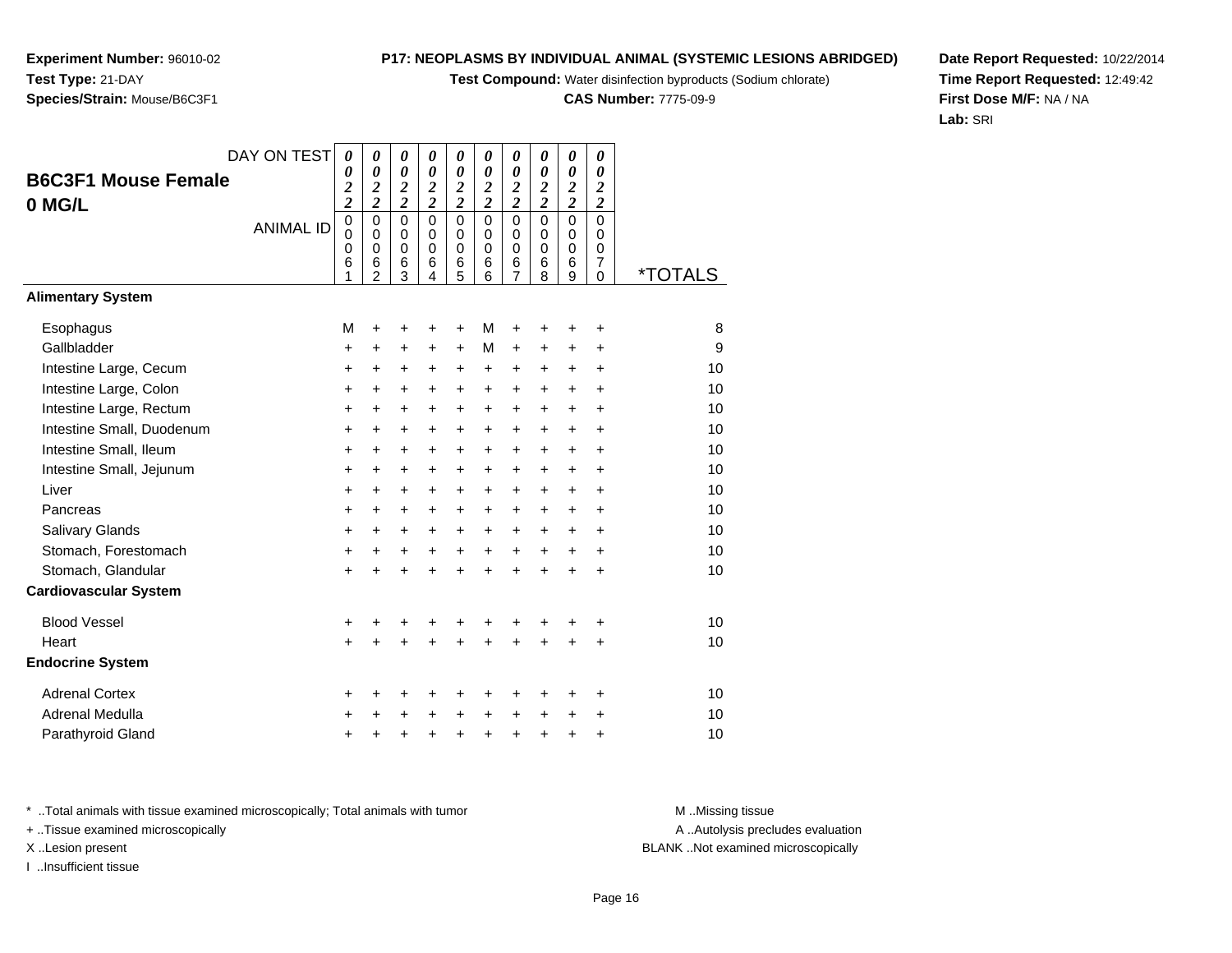**Test Compound:** Water disinfection byproducts (Sodium chlorate)

**CAS Number:** 7775-09-9

**Date Report Requested:** 10/22/2014**Time Report Requested:** 12:49:42**First Dose M/F:** NA / NA**Lab:** SRI

<sup>+</sup> <sup>+</sup> <sup>+</sup> <sup>+</sup> <sup>+</sup> <sup>+</sup> <sup>+</sup> <sup>+</sup> <sup>+</sup> <sup>10</sup>

**B6C3F1 Mouse Female0 MG/L**ANIMAL ID *0 2 2* 0 0 0 6 1 *0 2 2* 0 0 0 6 2 *0 2 2* 0 0 0 6 3 *0 2 2* 0 0 0 6 4 *0 2 2* 0 0 0 6 5 *0 2 2* 0 0 0 6 6 *0 2 2* 0 0 0 6 7 *0 2 2* 0 0 0 6 8 *0 2 2* 0 0 0 6 9 *0 2 2* 0 0 0 7 $\overline{0}$ 0 \*TOTALS**Alimentary SystemEsophagus** s M <sup>+</sup> <sup>+</sup> <sup>+</sup> <sup>+</sup> <sup>M</sup> <sup>+</sup> <sup>+</sup> <sup>+</sup> <sup>+</sup> <sup>8</sup> Gallbladderr + <sup>+</sup> <sup>+</sup> <sup>+</sup> <sup>+</sup> <sup>M</sup> <sup>+</sup> <sup>+</sup> <sup>+</sup> <sup>+</sup> <sup>9</sup> Intestine Large, Cecum <sup>+</sup> <sup>+</sup> <sup>+</sup> <sup>+</sup> <sup>+</sup> <sup>+</sup> <sup>+</sup> <sup>+</sup> <sup>+</sup> <sup>+</sup> <sup>10</sup> Intestine Large, Colon $\mathsf{n}$  + <sup>+</sup> <sup>+</sup> <sup>+</sup> <sup>+</sup> <sup>+</sup> <sup>+</sup> <sup>+</sup> <sup>+</sup> <sup>+</sup> <sup>10</sup> Intestine Large, Rectum <sup>+</sup> <sup>+</sup> <sup>+</sup> <sup>+</sup> <sup>+</sup> <sup>+</sup> <sup>+</sup> <sup>+</sup> <sup>+</sup> <sup>+</sup> <sup>10</sup> Intestine Small, Duodenum <sup>+</sup> <sup>+</sup> <sup>+</sup> <sup>+</sup> <sup>+</sup> <sup>+</sup> <sup>+</sup> <sup>+</sup> <sup>+</sup> <sup>+</sup> <sup>10</sup> Intestine Small, Ileum <sup>+</sup> <sup>+</sup> <sup>+</sup> <sup>+</sup> <sup>+</sup> <sup>+</sup> <sup>+</sup> <sup>+</sup> <sup>+</sup> <sup>+</sup> <sup>10</sup> Intestine Small, Jejunum <sup>+</sup> <sup>+</sup> <sup>+</sup> <sup>+</sup> <sup>+</sup> <sup>+</sup> <sup>+</sup> <sup>+</sup> <sup>+</sup> <sup>+</sup> <sup>10</sup> Liver $\mathsf{r}$  + <sup>+</sup> <sup>+</sup> <sup>+</sup> <sup>+</sup> <sup>+</sup> <sup>+</sup> <sup>+</sup> <sup>+</sup> <sup>+</sup> <sup>10</sup> Pancreas <sup>+</sup> <sup>+</sup> <sup>+</sup> <sup>+</sup> <sup>+</sup> <sup>+</sup> <sup>+</sup> <sup>+</sup> <sup>+</sup> <sup>+</sup> <sup>10</sup> Salivary Glands $\sim$   $\sim$   $\sim$   $\sim$   $\sim$   $\sim$  <sup>+</sup> <sup>+</sup> <sup>+</sup> <sup>+</sup> <sup>+</sup> <sup>+</sup> <sup>+</sup> <sup>+</sup> <sup>+</sup> <sup>10</sup> Stomach, Forestomach $h \rightarrow$  <sup>+</sup> <sup>+</sup> <sup>+</sup> <sup>+</sup> <sup>+</sup> <sup>+</sup> <sup>+</sup> <sup>+</sup> <sup>+</sup> <sup>10</sup> Stomach, Glandular $\mathsf{r}$  + <sup>+</sup> <sup>+</sup> <sup>+</sup> <sup>+</sup> <sup>+</sup> <sup>+</sup> <sup>+</sup> <sup>+</sup> <sup>+</sup> <sup>10</sup> **Cardiovascular System**Blood Vessel <sup>+</sup> <sup>+</sup> <sup>+</sup> <sup>+</sup> <sup>+</sup> <sup>+</sup> <sup>+</sup> <sup>+</sup> <sup>+</sup> <sup>+</sup> <sup>10</sup> **Heart**  $\frac{1}{2}$  <sup>+</sup> <sup>+</sup> <sup>+</sup> <sup>+</sup> <sup>+</sup> <sup>+</sup> <sup>+</sup> <sup>+</sup> <sup>+</sup> <sup>10</sup> **Endocrine System**Adrenal Cortex $\mathsf{x}$  + <sup>+</sup> <sup>+</sup> <sup>+</sup> <sup>+</sup> <sup>+</sup> <sup>+</sup> <sup>+</sup> <sup>+</sup> <sup>+</sup> <sup>10</sup> Adrenal Medullaa  $+$ <sup>+</sup> <sup>+</sup> <sup>+</sup> <sup>+</sup> <sup>+</sup> <sup>+</sup> <sup>+</sup> <sup>+</sup> <sup>+</sup> <sup>10</sup>

DAY ON TEST

*0*

*0*

*0*

*0*

*0*

*0*

*0*

*0*

*0*

*0*

\* ..Total animals with tissue examined microscopically; Total animals with tumor **M** ..Missing tissue M ..Missing tissue

d  $+$ 

+ ..Tissue examined microscopically

**Experiment Number:** 96010-02

**Species/Strain:** Mouse/B6C3F1

**Test Type:** 21-DAY

I ..Insufficient tissue

Parathyroid Gland

A ..Autolysis precludes evaluation

X ..Lesion present BLANK ..Not examined microscopically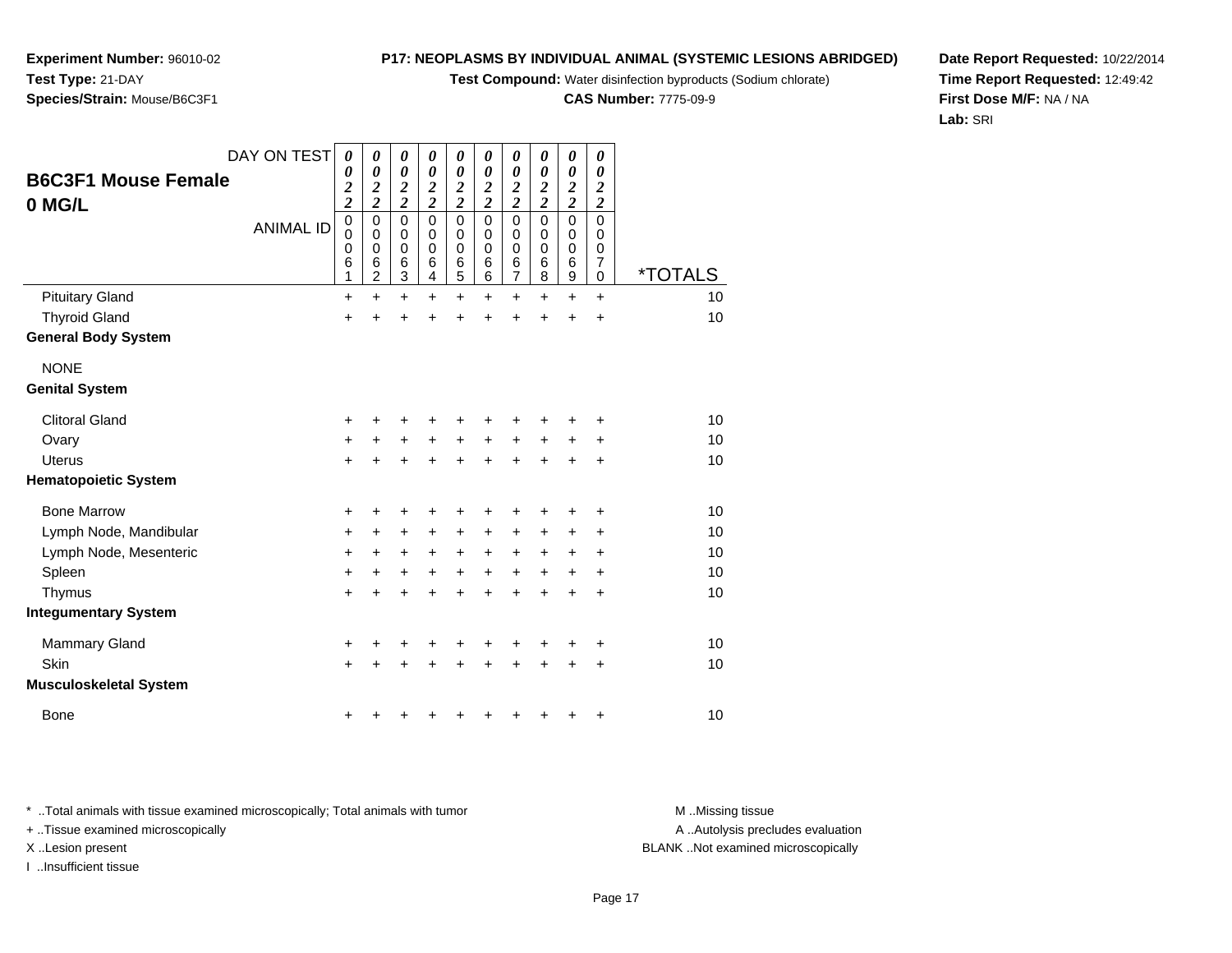**Test Compound:** Water disinfection byproducts (Sodium chlorate)

**CAS Number:** 7775-09-9

**Date Report Requested:** 10/22/2014**Time Report Requested:** 12:49:42**First Dose M/F:** NA / NA**Lab:** SRI

A ..Autolysis precludes evaluation

DAY ON TEST**B6C3F1 Mouse Female0 MG/L**ANIMAL ID*0 0 2 2* 0 0 0 6 1 $\ddot{}$ *0 0 2 2* 0 0 0 6 2 $\ddot{}$ *0 0 2 2* 0 0 0 6 3*0 0 2 2* 0 0 0 6 4*0 0 2 2* 0 0 0 6 5*0 0 2 2* 0 0 0 6 6*0 0 2 2* 0 0 0 6 7*0 0 2 2* 0 0 0 6 8*0 0 2 2* 0 0 0 6 9 $\ddot{}$ *0 0 2 2* 0 0 0 7 $\overline{0}$ 0 \*TOTALS10 Pituitary Gland $\alpha$  + <sup>+</sup> <sup>+</sup> <sup>+</sup> <sup>+</sup> <sup>+</sup> <sup>+</sup> <sup>+</sup> <sup>+</sup> <sup>+</sup> <sup>10</sup> Thyroid Gland $\alpha$  + <sup>+</sup> <sup>+</sup> <sup>+</sup> <sup>+</sup> <sup>+</sup> <sup>+</sup> <sup>+</sup> <sup>+</sup> <sup>+</sup> <sup>10</sup> **General Body System**NONE **Genital System**Clitoral Gland $\alpha$  + <sup>+</sup> <sup>+</sup> <sup>+</sup> <sup>+</sup> <sup>+</sup> <sup>+</sup> <sup>+</sup> <sup>+</sup> <sup>+</sup> <sup>10</sup> **Ovary**  <sup>+</sup> <sup>+</sup> <sup>+</sup> <sup>+</sup> <sup>+</sup> <sup>+</sup> <sup>+</sup> <sup>+</sup> <sup>+</sup> <sup>+</sup> <sup>10</sup> Uterus <sup>+</sup> <sup>+</sup> <sup>+</sup> <sup>+</sup> <sup>+</sup> <sup>+</sup> <sup>+</sup> <sup>+</sup> <sup>+</sup> <sup>+</sup> <sup>10</sup> **Hematopoietic System**Bone Marrow <sup>+</sup> <sup>+</sup> <sup>+</sup> <sup>+</sup> <sup>+</sup> <sup>+</sup> <sup>+</sup> <sup>+</sup> <sup>+</sup> <sup>+</sup> <sup>10</sup> Lymph Node, Mandibularr + <sup>+</sup> <sup>+</sup> <sup>+</sup> <sup>+</sup> <sup>+</sup> <sup>+</sup> <sup>+</sup> <sup>+</sup> <sup>+</sup> <sup>10</sup> Lymph Node, Mesenteric $\circ$  + <sup>+</sup> <sup>+</sup> <sup>+</sup> <sup>+</sup> <sup>+</sup> <sup>+</sup> <sup>+</sup> <sup>+</sup> <sup>+</sup> <sup>10</sup> Spleenn  $+$  <sup>+</sup> <sup>+</sup> <sup>+</sup> <sup>+</sup> <sup>+</sup> <sup>+</sup> <sup>+</sup> <sup>+</sup> <sup>+</sup> <sup>10</sup> **Thymus**  <sup>+</sup> <sup>+</sup> <sup>+</sup> <sup>+</sup> <sup>+</sup> <sup>+</sup> <sup>+</sup> <sup>+</sup> <sup>+</sup> <sup>+</sup> <sup>10</sup> **Integumentary System**Mammary Gland $\alpha$  + <sup>+</sup> <sup>+</sup> <sup>+</sup> <sup>+</sup> <sup>+</sup> <sup>+</sup> <sup>+</sup> <sup>+</sup> <sup>+</sup> <sup>10</sup> **Skin** n  $+$  <sup>+</sup> <sup>+</sup> <sup>+</sup> <sup>+</sup> <sup>+</sup> <sup>+</sup> <sup>+</sup> <sup>+</sup> <sup>+</sup> <sup>10</sup> **Musculoskeletal System**Bone<sup>+</sup> <sup>+</sup> <sup>+</sup> <sup>+</sup> <sup>+</sup> <sup>+</sup> <sup>+</sup> <sup>+</sup> <sup>+</sup> <sup>10</sup>

\* ..Total animals with tissue examined microscopically; Total animals with tumor **M** ..Missing tissue M ..Missing tissue

 $e$  +

+ ..Tissue examined microscopically

**Experiment Number:** 96010-02

**Species/Strain:** Mouse/B6C3F1

**Test Type:** 21-DAY

X ..Lesion present BLANK ..Not examined microscopically

I ..Insufficient tissue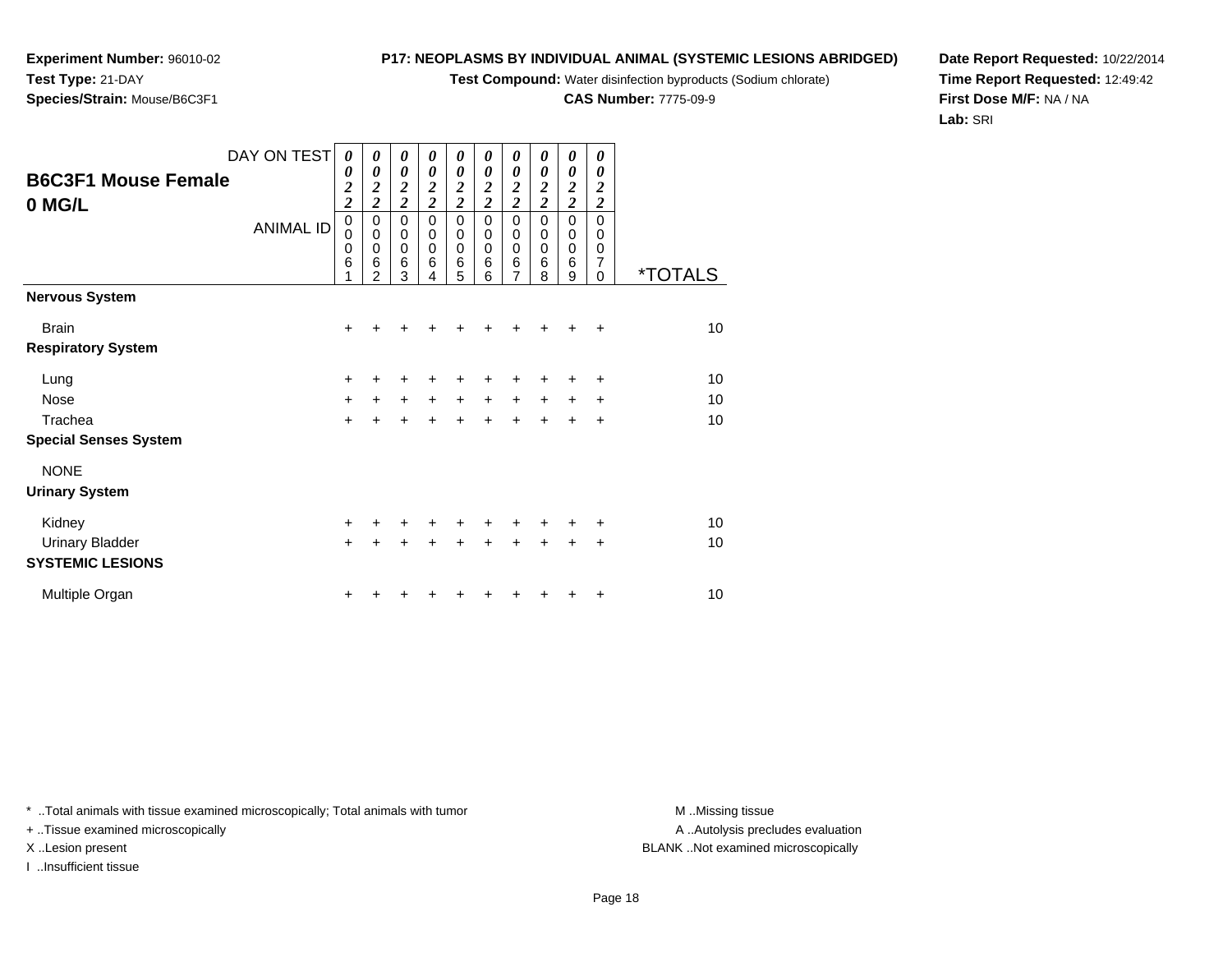**Test Compound:** Water disinfection byproducts (Sodium chlorate)

**CAS Number:** 7775-09-9

**Date Report Requested:** 10/22/2014**Time Report Requested:** 12:49:42**First Dose M/F:** NA / NA**Lab:** SRI

\* ..Total animals with tissue examined microscopically; Total animals with tumor **M** ...Missing tissue M ...Missing tissue

+ ..Tissue examined microscopically

I ..Insufficient tissue

**Experiment Number:** 96010-02**Test Type:** 21-DAY**Species/Strain:** Mouse/B6C3F1

| DAY ON TEST                          | 0                                  | 0                                                                           | 0                                                        | 0                                                   | 0                                         | 0                                         | 0                                                                | 0                                                       | 0                                                   | 0                                                             |                       |
|--------------------------------------|------------------------------------|-----------------------------------------------------------------------------|----------------------------------------------------------|-----------------------------------------------------|-------------------------------------------|-------------------------------------------|------------------------------------------------------------------|---------------------------------------------------------|-----------------------------------------------------|---------------------------------------------------------------|-----------------------|
| <b>B6C3F1 Mouse Female</b><br>0 MG/L | 0<br>$\frac{2}{2}$                 | $\boldsymbol{\theta}$<br>$\overline{\mathbf{c}}$<br>$\overline{\mathbf{c}}$ | 0<br>$\frac{2}{2}$                                       | $\boldsymbol{\theta}$<br>$\frac{2}{2}$              | 0<br>$\frac{2}{2}$                        | $\boldsymbol{\theta}$<br>$\frac{2}{2}$    | 0<br>$\frac{2}{2}$                                               | $\boldsymbol{\theta}$<br>$\frac{2}{2}$                  | 0<br>$\frac{2}{2}$                                  | 0<br>$\frac{2}{2}$                                            |                       |
| <b>ANIMAL ID</b>                     | $\pmb{0}$<br>$\mathbf 0$<br>0<br>6 | 0<br>$\mathbf 0$<br>$\mathbf 0$<br>6<br>2                                   | $\mathbf 0$<br>$\boldsymbol{0}$<br>$\mathbf 0$<br>6<br>3 | $\mathbf 0$<br>$\mathbf 0$<br>$\mathbf 0$<br>6<br>4 | 0<br>$\mathbf 0$<br>$\mathbf 0$<br>6<br>5 | $\mathbf 0$<br>0<br>$\mathbf 0$<br>6<br>6 | $\mathbf 0$<br>$\pmb{0}$<br>$\pmb{0}$<br>$\,6$<br>$\overline{7}$ | $\mathbf 0$<br>$\mathbf 0$<br>$\mathbf 0$<br>$\,6$<br>8 | $\mathbf 0$<br>$\mathbf 0$<br>$\mathbf 0$<br>6<br>9 | $\mathbf 0$<br>$\mathbf 0$<br>$\mathbf 0$<br>7<br>$\mathbf 0$ | <i><b>*TOTALS</b></i> |
| <b>Nervous System</b>                |                                    |                                                                             |                                                          |                                                     |                                           |                                           |                                                                  |                                                         |                                                     |                                                               |                       |
| <b>Brain</b>                         | ٠                                  |                                                                             |                                                          |                                                     |                                           |                                           |                                                                  |                                                         |                                                     | ٠                                                             | 10                    |
| <b>Respiratory System</b>            |                                    |                                                                             |                                                          |                                                     |                                           |                                           |                                                                  |                                                         |                                                     |                                                               |                       |
| Lung                                 | +                                  |                                                                             |                                                          | +                                                   | +                                         | +                                         | +                                                                | +                                                       | +                                                   | ÷                                                             | 10                    |
| Nose                                 | $\ddot{}$                          | $\ddot{}$                                                                   | $\ddot{}$                                                | $\ddot{}$                                           | $\ddot{}$                                 | $\ddot{}$                                 | $\ddot{}$                                                        | $\ddot{}$                                               | $\ddot{}$                                           | $\ddot{}$                                                     | 10                    |
| Trachea                              | $+$                                |                                                                             |                                                          | $\ddot{}$                                           | $\ddot{}$                                 | $\ddot{}$                                 | $\ddot{}$                                                        | $\ddot{}$                                               | $\ddot{}$                                           | $\ddot{}$                                                     | 10                    |
| <b>Special Senses System</b>         |                                    |                                                                             |                                                          |                                                     |                                           |                                           |                                                                  |                                                         |                                                     |                                                               |                       |
| <b>NONE</b>                          |                                    |                                                                             |                                                          |                                                     |                                           |                                           |                                                                  |                                                         |                                                     |                                                               |                       |
| <b>Urinary System</b>                |                                    |                                                                             |                                                          |                                                     |                                           |                                           |                                                                  |                                                         |                                                     |                                                               |                       |
| Kidney                               | +                                  |                                                                             |                                                          | +                                                   | +                                         | +                                         | +                                                                | $\ddot{}$                                               | +                                                   | $\ddot{}$                                                     | 10                    |
| <b>Urinary Bladder</b>               | $+$                                |                                                                             |                                                          | $\ddot{}$                                           | $\ddot{}$                                 | $\ddot{}$                                 | $\ddot{}$                                                        | $\ddot{}$                                               | +                                                   | +                                                             | 10                    |
| <b>SYSTEMIC LESIONS</b>              |                                    |                                                                             |                                                          |                                                     |                                           |                                           |                                                                  |                                                         |                                                     |                                                               |                       |
| Multiple Organ                       | +                                  |                                                                             |                                                          |                                                     |                                           |                                           |                                                                  |                                                         |                                                     | +                                                             | 10                    |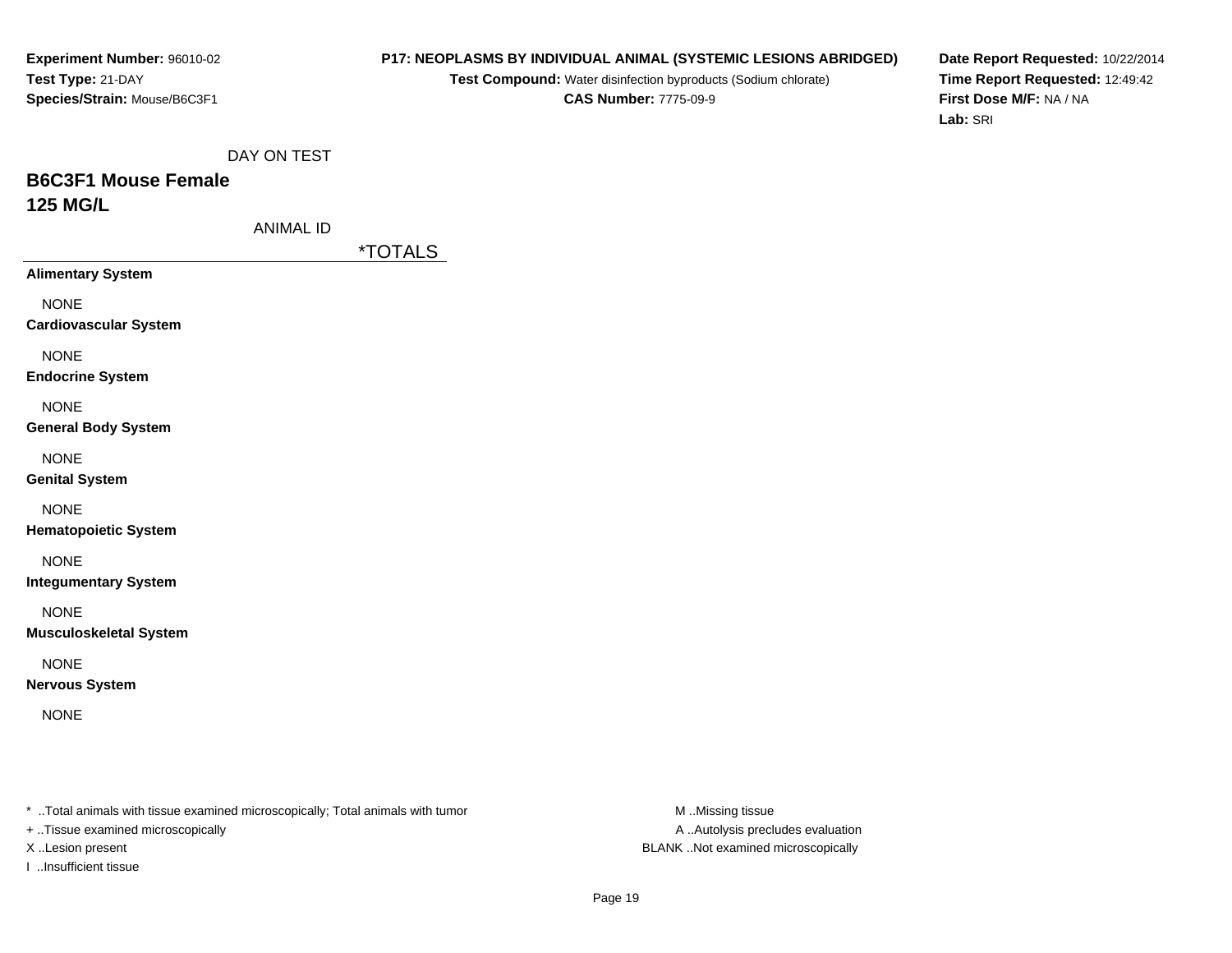#### **P17: NEOPLASMS BY INDIVIDUAL ANIMAL (SYSTEMIC LESIONS ABRIDGED)**

**Test Compound:** Water disinfection byproducts (Sodium chlorate)**CAS Number:** 7775-09-9

**Date Report Requested:** 10/22/2014**Time Report Requested:** 12:49:42**First Dose M/F:** NA / NA**Lab:** SRI

DAY ON TEST

# **B6C3F1 Mouse Female125 MG/L**

ANIMAL ID

\*TOTALS

**Alimentary System**

NONE

**Cardiovascular System**

NONE

**Endocrine System**

NONE

**General Body System**

NONE

**Genital System**

NONE

**Hematopoietic System**

NONE

**Integumentary System**

NONE

**Musculoskeletal System**

NONE

**Nervous System**

NONE

\* ..Total animals with tissue examined microscopically; Total animals with tumor **M** ..Missing tissue M ..Missing tissue

+ ..Tissue examined microscopically

I ..Insufficient tissue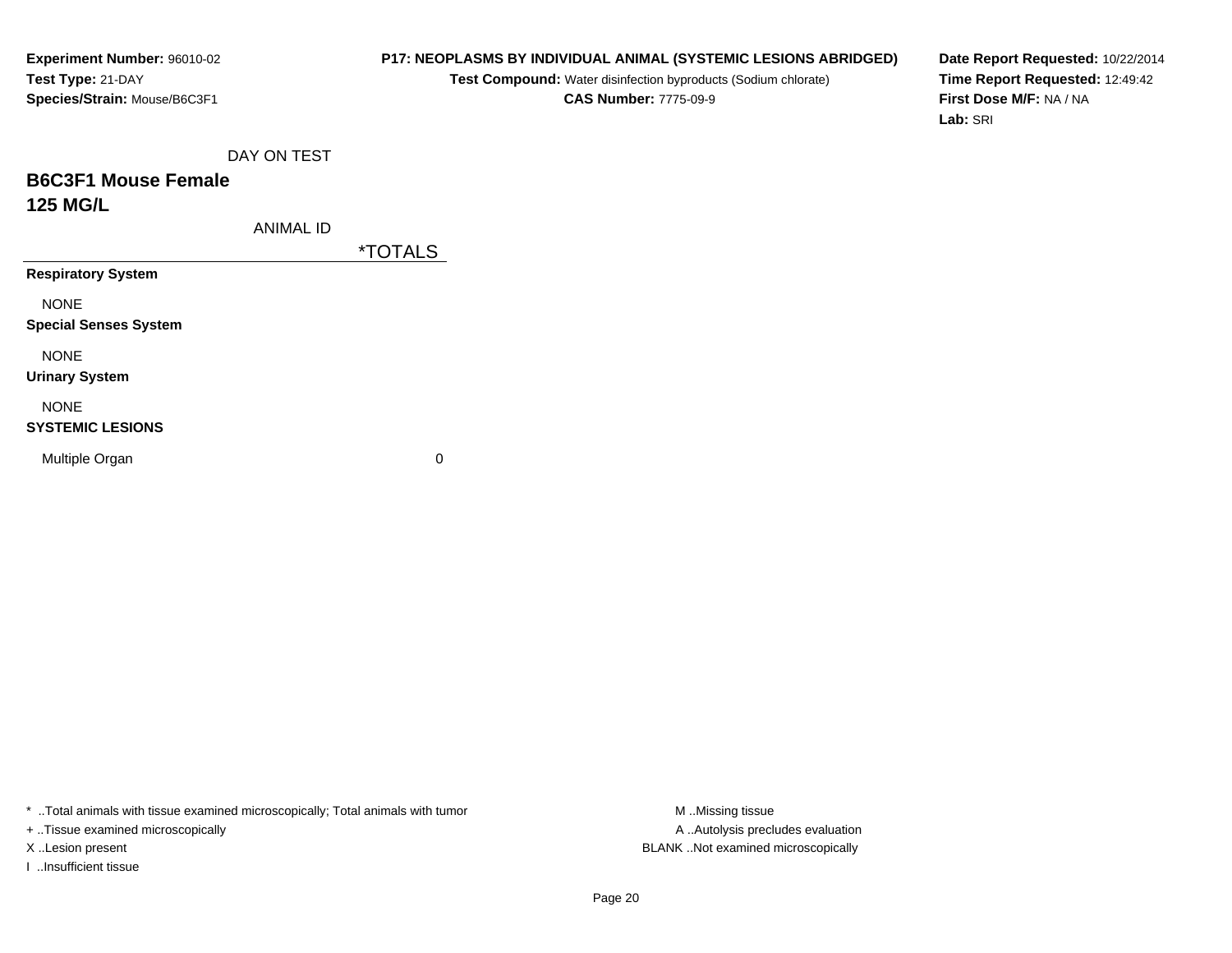# **P17: NEOPLASMS BY INDIVIDUAL ANIMAL (SYSTEMIC LESIONS ABRIDGED)**

**Test Compound:** Water disinfection byproducts (Sodium chlorate)**CAS Number:** 7775-09-9

**Date Report Requested:** 10/22/2014**Time Report Requested:** 12:49:42**First Dose M/F:** NA / NA**Lab:** SRI

DAY ON TEST

# **B6C3F1 Mouse Female125 MG/L**

ANIMAL ID

\*TOTALS

**Respiratory System**

NONE

**Special Senses System**

NONE

**Urinary System**

NONE

#### **SYSTEMIC LESIONS**

Multiple Organ

 $\mathbf n$  0

\* ..Total animals with tissue examined microscopically; Total animals with tumor **M** ..Missing tissue M ..Missing tissue

+ ..Tissue examined microscopically

I ..Insufficient tissue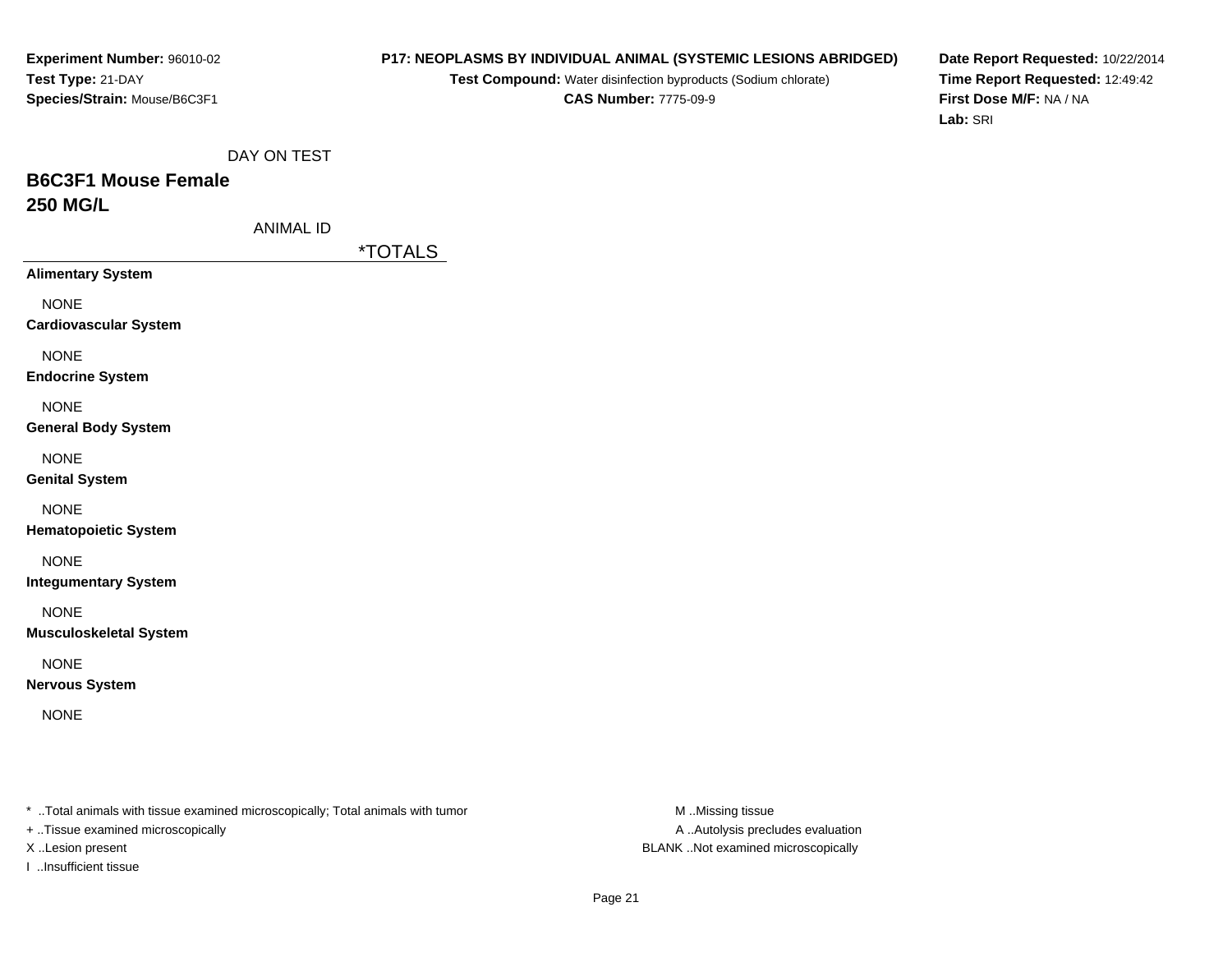#### **P17: NEOPLASMS BY INDIVIDUAL ANIMAL (SYSTEMIC LESIONS ABRIDGED)**

**Test Compound:** Water disinfection byproducts (Sodium chlorate)**CAS Number:** 7775-09-9

**Date Report Requested:** 10/22/2014**Time Report Requested:** 12:49:42**First Dose M/F:** NA / NA**Lab:** SRI

DAY ON TEST

# **B6C3F1 Mouse Female250 MG/L**

ANIMAL ID

\*TOTALS

**Alimentary System**

NONE

**Cardiovascular System**

NONE

**Endocrine System**

NONE

**General Body System**

NONE

**Genital System**

NONE

**Hematopoietic System**

NONE

**Integumentary System**

NONE

**Musculoskeletal System**

NONE

**Nervous System**

NONE

\* ..Total animals with tissue examined microscopically; Total animals with tumor **M** ..Missing tissue M ..Missing tissue

+ ..Tissue examined microscopically

I ..Insufficient tissue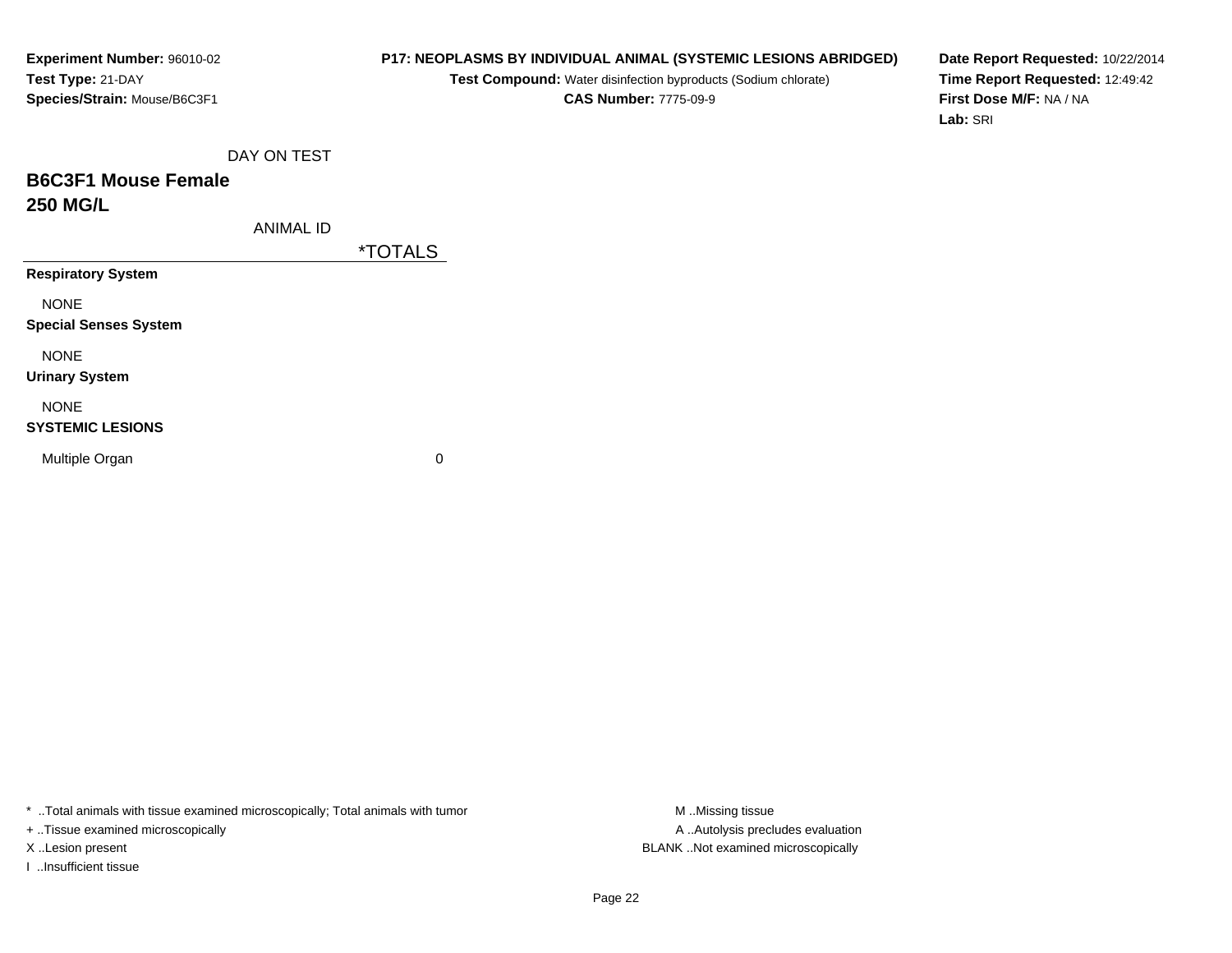# **P17: NEOPLASMS BY INDIVIDUAL ANIMAL (SYSTEMIC LESIONS ABRIDGED)**

**Test Compound:** Water disinfection byproducts (Sodium chlorate)**CAS Number:** 7775-09-9

**Date Report Requested:** 10/22/2014**Time Report Requested:** 12:49:42**First Dose M/F:** NA / NA**Lab:** SRI

DAY ON TEST

# **B6C3F1 Mouse Female250 MG/L**

ANIMAL ID

\*TOTALS

**Respiratory System**

NONE

**Special Senses System**

NONE

**Urinary System**

NONE

#### **SYSTEMIC LESIONS**

Multiple Organ

 $\mathbf n$  0

\* ..Total animals with tissue examined microscopically; Total animals with tumor **M** ..Missing tissue M ..Missing tissue

+ ..Tissue examined microscopically

I ..Insufficient tissue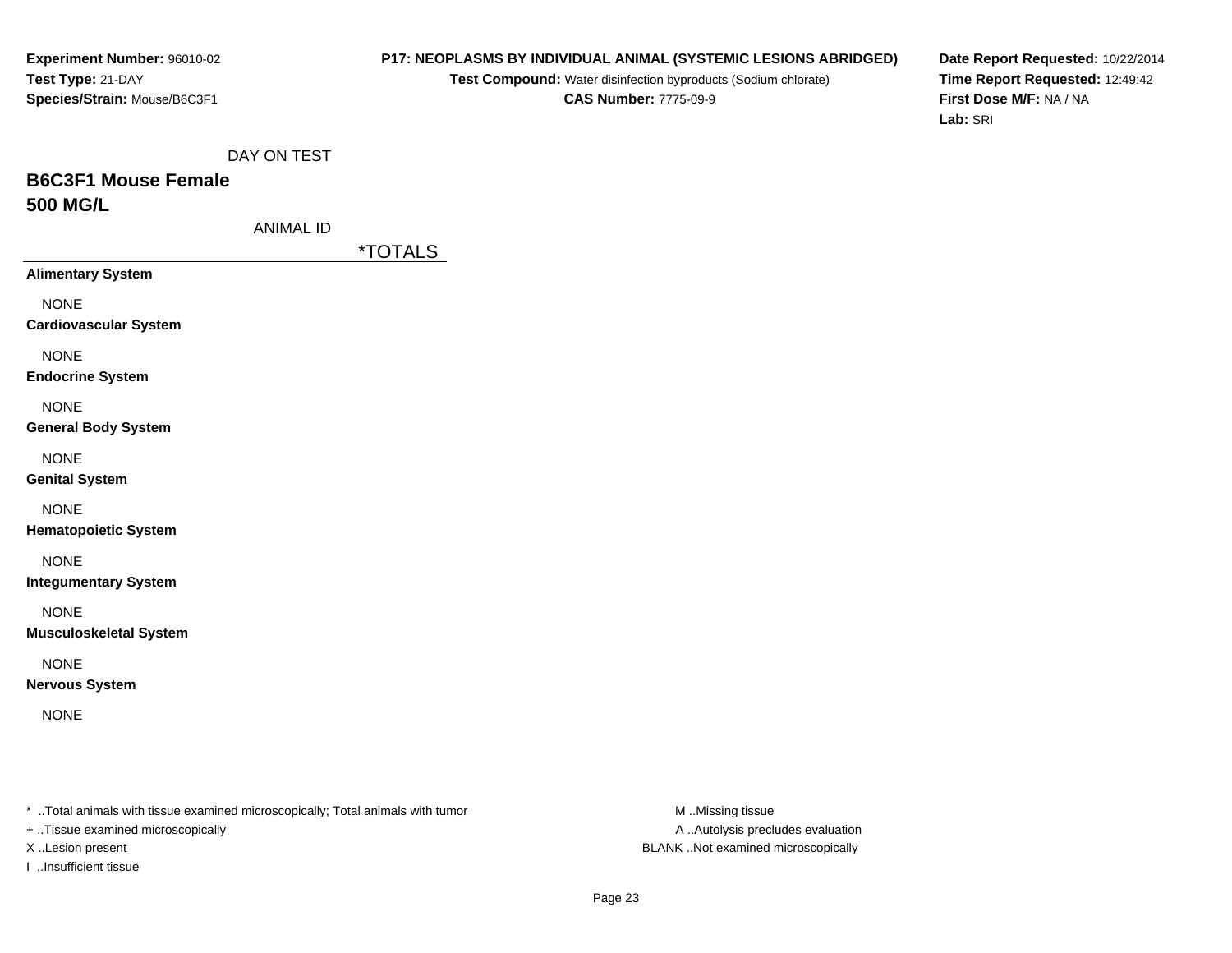#### **P17: NEOPLASMS BY INDIVIDUAL ANIMAL (SYSTEMIC LESIONS ABRIDGED)**

**Test Compound:** Water disinfection byproducts (Sodium chlorate)**CAS Number:** 7775-09-9

**Date Report Requested:** 10/22/2014**Time Report Requested:** 12:49:42**First Dose M/F:** NA / NA**Lab:** SRI

DAY ON TEST

# **B6C3F1 Mouse Female500 MG/L**

ANIMAL ID

\*TOTALS

**Alimentary System**

NONE

**Cardiovascular System**

NONE

**Endocrine System**

NONE

**General Body System**

NONE

**Genital System**

NONE

**Hematopoietic System**

NONE

**Integumentary System**

NONE

**Musculoskeletal System**

NONE

**Nervous System**

NONE

\* ..Total animals with tissue examined microscopically; Total animals with tumor **M** ..Missing tissue M ..Missing tissue

+ ..Tissue examined microscopically

I ..Insufficient tissue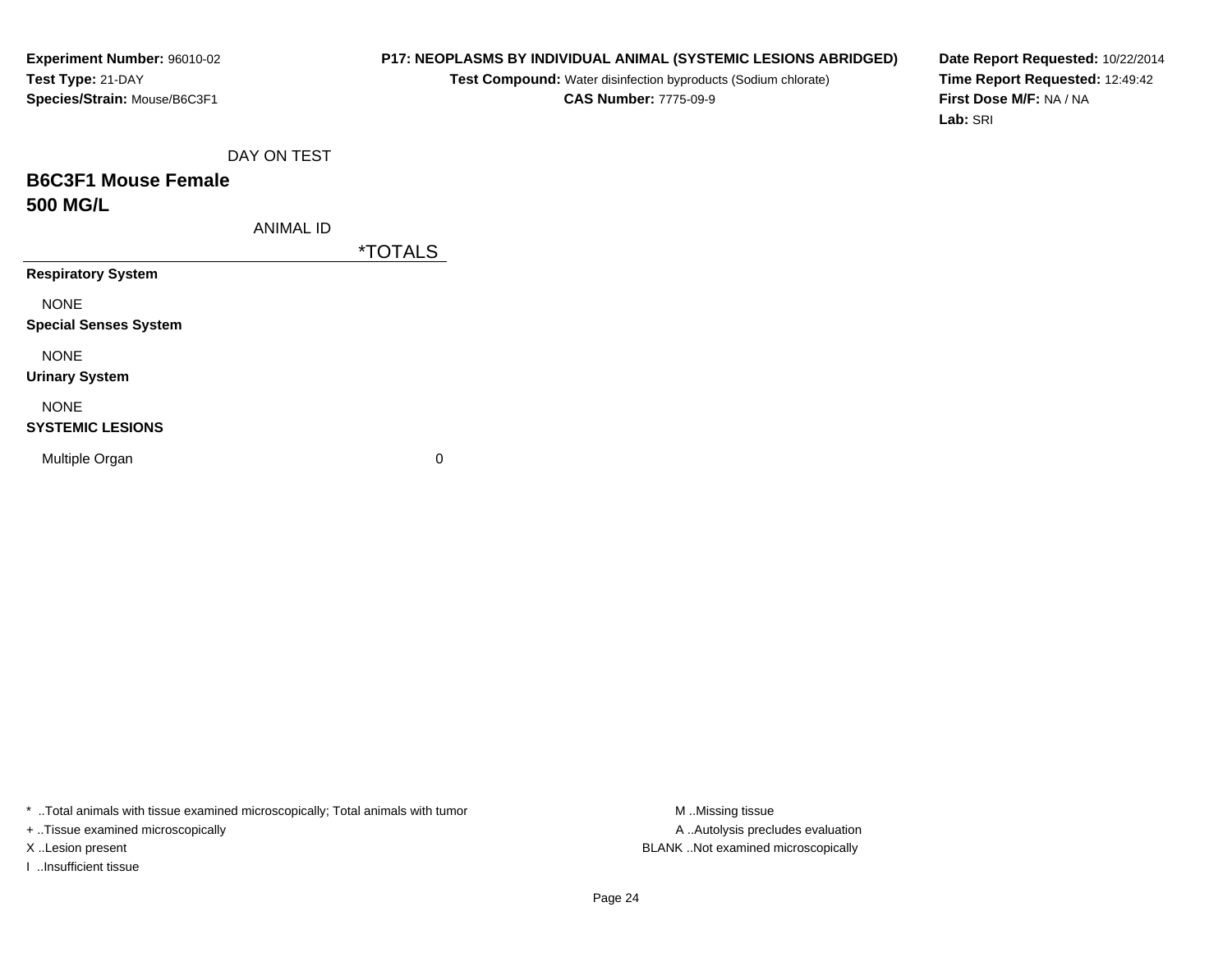# **P17: NEOPLASMS BY INDIVIDUAL ANIMAL (SYSTEMIC LESIONS ABRIDGED)**

**Test Compound:** Water disinfection byproducts (Sodium chlorate)**CAS Number:** 7775-09-9

**Date Report Requested:** 10/22/2014**Time Report Requested:** 12:49:42**First Dose M/F:** NA / NA**Lab:** SRI

DAY ON TEST

# **B6C3F1 Mouse Female500 MG/L**

ANIMAL ID

\*TOTALS

**Respiratory System**

NONE

**Special Senses System**

NONE

**Urinary System**

# NONE

#### **SYSTEMIC LESIONS**

Multiple Organ

 $\mathbf n$  0

\* ..Total animals with tissue examined microscopically; Total animals with tumor **M** ..Missing tissue M ..Missing tissue

+ ..Tissue examined microscopically

I ..Insufficient tissue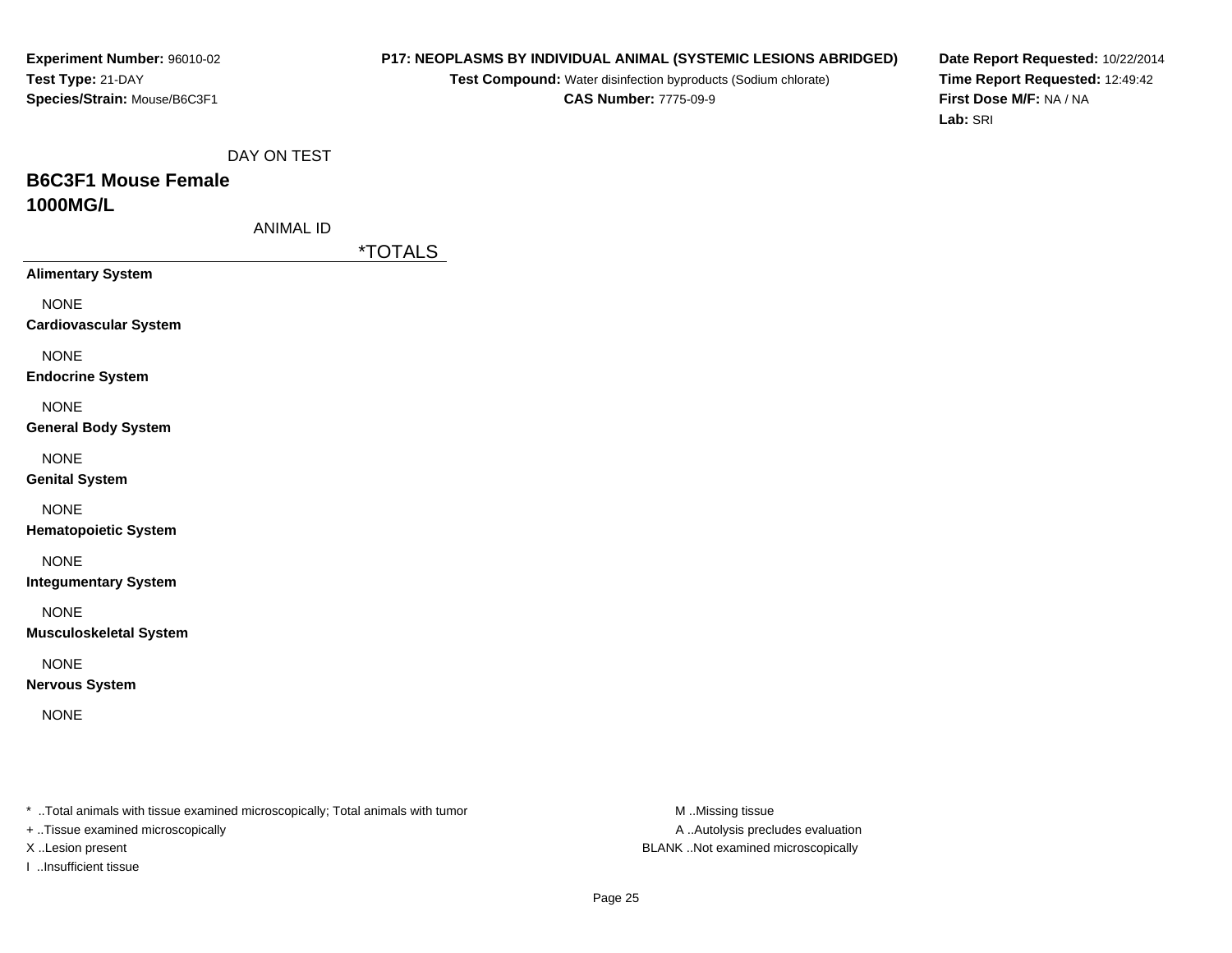#### **P17: NEOPLASMS BY INDIVIDUAL ANIMAL (SYSTEMIC LESIONS ABRIDGED)**

**Test Compound:** Water disinfection byproducts (Sodium chlorate)**CAS Number:** 7775-09-9

**Date Report Requested:** 10/22/2014**Time Report Requested:** 12:49:42**First Dose M/F:** NA / NA**Lab:** SRI

DAY ON TEST

# **B6C3F1 Mouse Female1000MG/L**

ANIMAL ID

\*TOTALS

**Alimentary System**

NONE

**Cardiovascular System**

NONE

**Endocrine System**

NONE

**General Body System**

NONE

**Genital System**

NONE

**Hematopoietic System**

NONE

**Integumentary System**

NONE

**Musculoskeletal System**

NONE

**Nervous System**

NONE

\* ..Total animals with tissue examined microscopically; Total animals with tumor **M** ..Missing tissue M ..Missing tissue

+ ..Tissue examined microscopically

I ..Insufficient tissue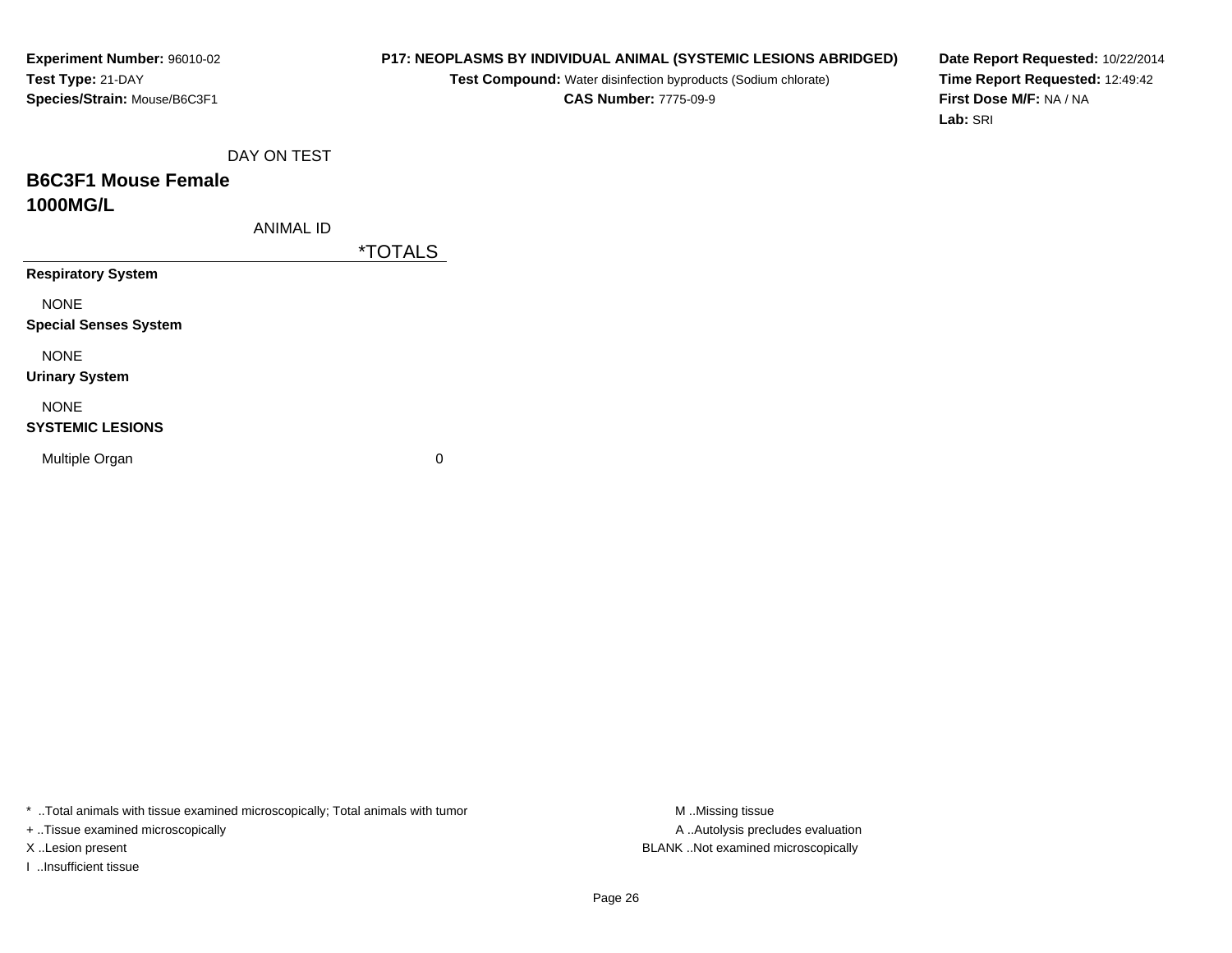# **P17: NEOPLASMS BY INDIVIDUAL ANIMAL (SYSTEMIC LESIONS ABRIDGED)**

**Test Compound:** Water disinfection byproducts (Sodium chlorate)**CAS Number:** 7775-09-9

**Date Report Requested:** 10/22/2014**Time Report Requested:** 12:49:42**First Dose M/F:** NA / NA**Lab:** SRI

DAY ON TEST

# **B6C3F1 Mouse Female1000MG/L**

ANIMAL ID

\*TOTALS

**Respiratory System**

NONE

**Special Senses System**

NONE

**Urinary System**

NONE

#### **SYSTEMIC LESIONS**

Multiple Organ

 $\mathbf n$  0

\* ..Total animals with tissue examined microscopically; Total animals with tumor **M** ..Missing tissue M ..Missing tissue

+ ..Tissue examined microscopically

I ..Insufficient tissue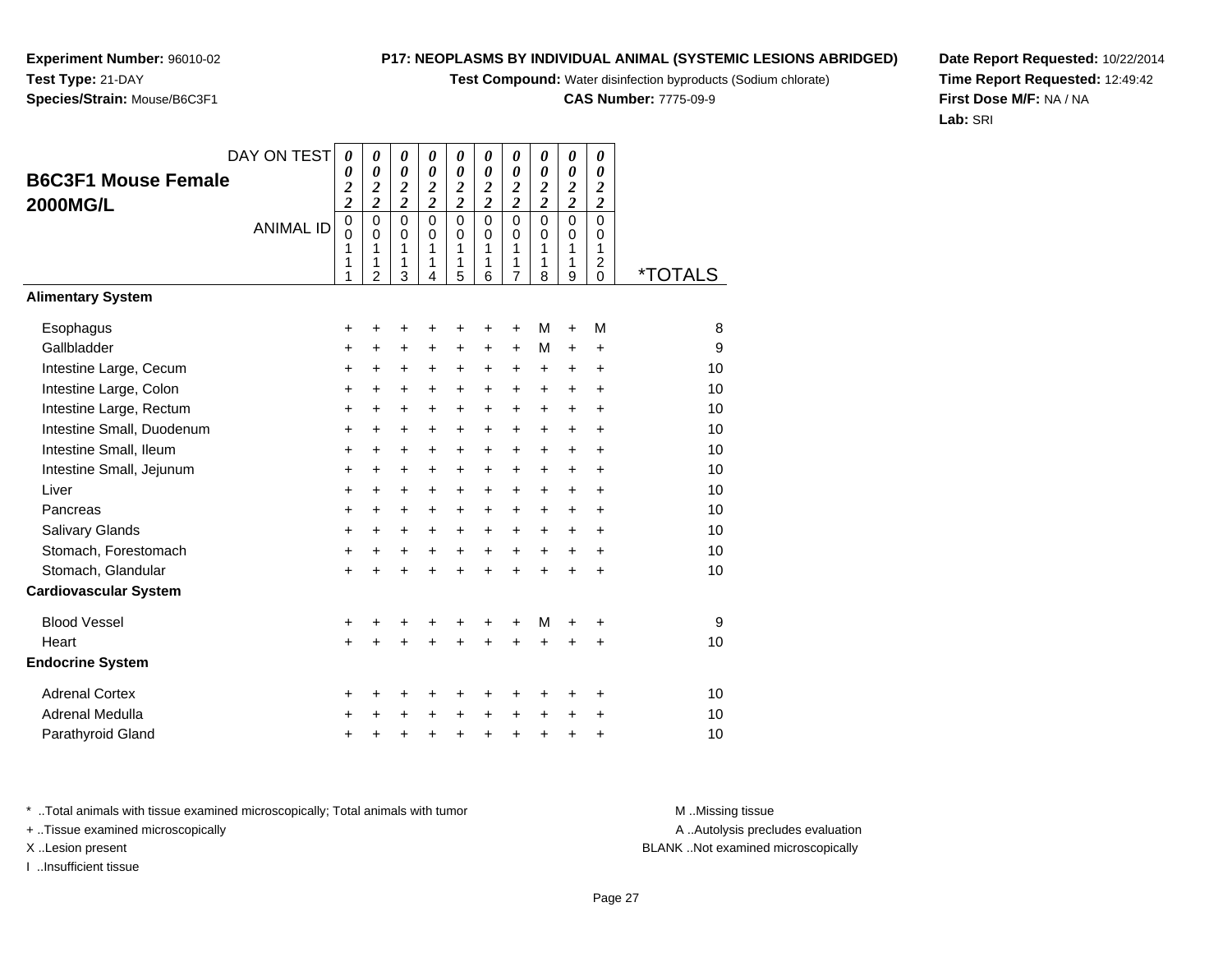**Test Compound:** Water disinfection byproducts (Sodium chlorate)

**CAS Number:** 7775-09-9

**Date Report Requested:** 10/22/2014**Time Report Requested:** 12:49:42**First Dose M/F:** NA / NA**Lab:** SRI

**Experiment Number:** 96010-02

**Test Type:** 21-DAY

|                              | DAY ON TEST      | 0                            | 0                                                      | 0                                             | $\boldsymbol{\theta}$                             | 0                                                    | 0                                      | 0                               | $\boldsymbol{\theta}$                     | $\boldsymbol{\theta}$                     | 0                                                      |                       |
|------------------------------|------------------|------------------------------|--------------------------------------------------------|-----------------------------------------------|---------------------------------------------------|------------------------------------------------------|----------------------------------------|---------------------------------|-------------------------------------------|-------------------------------------------|--------------------------------------------------------|-----------------------|
| <b>B6C3F1 Mouse Female</b>   |                  | 0<br>$\overline{\mathbf{c}}$ | 0<br>$\overline{\mathbf{c}}$                           | 0<br>$\boldsymbol{2}$                         | 0<br>$\overline{\mathbf{c}}$                      | $\boldsymbol{\theta}$<br>$\overline{\mathbf{c}}$     | 0<br>$\overline{\mathbf{c}}$           | 0<br>$\overline{\mathbf{c}}$    | $\boldsymbol{\theta}$<br>$\boldsymbol{2}$ | $\boldsymbol{\theta}$<br>$\boldsymbol{2}$ | 0<br>$\boldsymbol{2}$                                  |                       |
| <b>2000MG/L</b>              |                  | $\overline{\mathbf{c}}$      | $\overline{c}$                                         | $\overline{c}$                                | $\overline{2}$                                    | $\overline{\mathbf{c}}$                              | $\overline{2}$                         | $\overline{\mathbf{c}}$         | $\overline{\mathbf{c}}$                   | $\overline{c}$                            | $\overline{\mathbf{c}}$                                |                       |
|                              | <b>ANIMAL ID</b> | 0<br>$\Omega$<br>1<br>1<br>1 | $\mathbf 0$<br>$\mathbf 0$<br>1<br>1<br>$\overline{2}$ | $\Omega$<br>$\Omega$<br>$\mathbf 1$<br>1<br>3 | $\mathbf 0$<br>$\Omega$<br>$\mathbf{1}$<br>1<br>4 | $\mathbf 0$<br>$\mathbf 0$<br>$\mathbf{1}$<br>1<br>5 | $\mathbf 0$<br>$\Omega$<br>1<br>1<br>6 | $\mathbf 0$<br>0<br>1<br>1<br>7 | $\Omega$<br>$\Omega$<br>1<br>1<br>8       | $\Omega$<br>$\Omega$<br>1<br>1<br>9       | $\mathbf 0$<br>0<br>1<br>$\overline{c}$<br>$\mathbf 0$ | <i><b>*TOTALS</b></i> |
| <b>Alimentary System</b>     |                  |                              |                                                        |                                               |                                                   |                                                      |                                        |                                 |                                           |                                           |                                                        |                       |
| Esophagus                    |                  | +                            | +                                                      | +                                             | +                                                 | +                                                    | +                                      | +                               | M                                         | $\ddot{}$                                 | M                                                      | 8                     |
| Gallbladder                  |                  | +                            | +                                                      | +                                             | +                                                 | +                                                    | +                                      | $\ddot{}$                       | M                                         | $\ddot{}$                                 | +                                                      | 9                     |
| Intestine Large, Cecum       |                  | $\ddot{}$                    | $\ddot{}$                                              | +                                             | $\ddot{}$                                         | $\ddot{}$                                            | $\ddot{}$                              | +                               | $\ddot{}$                                 | $\ddot{}$                                 | $\ddot{}$                                              | 10                    |
| Intestine Large, Colon       |                  | $\ddot{}$                    | $\ddot{}$                                              | +                                             | +                                                 | $\ddot{}$                                            | +                                      | $\ddot{}$                       | $\ddot{}$                                 | $\ddot{}$                                 | $\ddot{}$                                              | 10                    |
| Intestine Large, Rectum      |                  | $\ddot{}$                    | $\ddot{}$                                              | $\ddot{}$                                     | $\ddot{}$                                         | $\ddot{}$                                            | $\ddot{}$                              | $\ddot{}$                       | $\ddot{}$                                 | $\ddot{}$                                 | $\ddot{}$                                              | 10                    |
| Intestine Small, Duodenum    |                  | +                            | +                                                      | +                                             | +                                                 | +                                                    | $\ddot{}$                              | +                               | $\ddot{}$                                 | $\ddot{}$                                 | +                                                      | 10                    |
| Intestine Small, Ileum       |                  | +                            | $\ddot{}$                                              | +                                             | $\ddot{}$                                         | $\ddot{}$                                            | +                                      | +                               | $\ddot{}$                                 | $\ddot{}$                                 | $\ddot{}$                                              | 10                    |
| Intestine Small, Jejunum     |                  | +                            | +                                                      | +                                             | +                                                 | $\ddot{}$                                            | $\ddot{}$                              | $\ddot{}$                       | $\ddot{}$                                 | $\ddot{}$                                 | +                                                      | 10                    |
| Liver                        |                  | $\ddot{}$                    | $\ddot{}$                                              | $\ddot{}$                                     | $\ddot{}$                                         | $\ddot{}$                                            | $\ddot{}$                              | $\ddot{}$                       | $\ddot{}$                                 | $\ddot{}$                                 | $\ddot{}$                                              | 10                    |
| Pancreas                     |                  | +                            | +                                                      | +                                             | +                                                 | +                                                    | $\ddot{}$                              | +                               | $\ddot{}$                                 | $\ddot{}$                                 | +                                                      | 10                    |
| Salivary Glands              |                  | $\ddot{}$                    | $\ddot{}$                                              | +                                             | $\ddot{}$                                         | $\ddot{}$                                            | $\ddot{}$                              | $\ddot{}$                       | $\ddot{}$                                 | $\ddot{}$                                 | $\ddot{}$                                              | 10                    |
| Stomach, Forestomach         |                  | +                            | $\ddot{}$                                              | +                                             | $\ddot{}$                                         | $\ddot{}$                                            | $\ddot{}$                              | $\ddot{}$                       | $\ddot{}$                                 | $\ddot{}$                                 | +                                                      | 10                    |
| Stomach, Glandular           |                  | $\ddot{}$                    |                                                        | Ŧ                                             | $\ddot{}$                                         | $\ddot{}$                                            | $\ddot{}$                              | $\ddot{}$                       | $\ddot{}$                                 | $\ddot{}$                                 | $\ddot{}$                                              | 10                    |
| <b>Cardiovascular System</b> |                  |                              |                                                        |                                               |                                                   |                                                      |                                        |                                 |                                           |                                           |                                                        |                       |
| <b>Blood Vessel</b>          |                  | +                            | +                                                      | +                                             | +                                                 | +                                                    | +                                      | +                               | M                                         | +                                         | +                                                      | 9                     |
| Heart                        |                  | $\ddot{}$                    |                                                        | $\ddot{}$                                     | $\ddot{}$                                         | $\ddot{}$                                            | $\ddot{}$                              | ÷                               | $\ddot{}$                                 |                                           | $\ddot{}$                                              | 10                    |
| <b>Endocrine System</b>      |                  |                              |                                                        |                                               |                                                   |                                                      |                                        |                                 |                                           |                                           |                                                        |                       |
| <b>Adrenal Cortex</b>        |                  | +                            | ٠                                                      | +                                             | +                                                 | +                                                    | +                                      | +                               | +                                         | +                                         | +                                                      | 10                    |
| Adrenal Medulla              |                  | $\ddot{}$                    | +                                                      | $\ddot{}$                                     | $\ddot{}$                                         | $\ddot{}$                                            | $\ddot{}$                              | $\ddot{}$                       | $\ddot{}$                                 | $\ddot{}$                                 | +                                                      | 10                    |
| Parathyroid Gland            |                  | +                            | +                                                      | +                                             | +                                                 | $\pmb{+}$                                            | +                                      | $\ddot{}$                       | $\ddot{}$                                 | $\ddot{}$                                 | +                                                      | 10                    |

\* ..Total animals with tissue examined microscopically; Total animals with tumor **M** . Missing tissue M ..Missing tissue

+ ..Tissue examined microscopically

I ..Insufficient tissue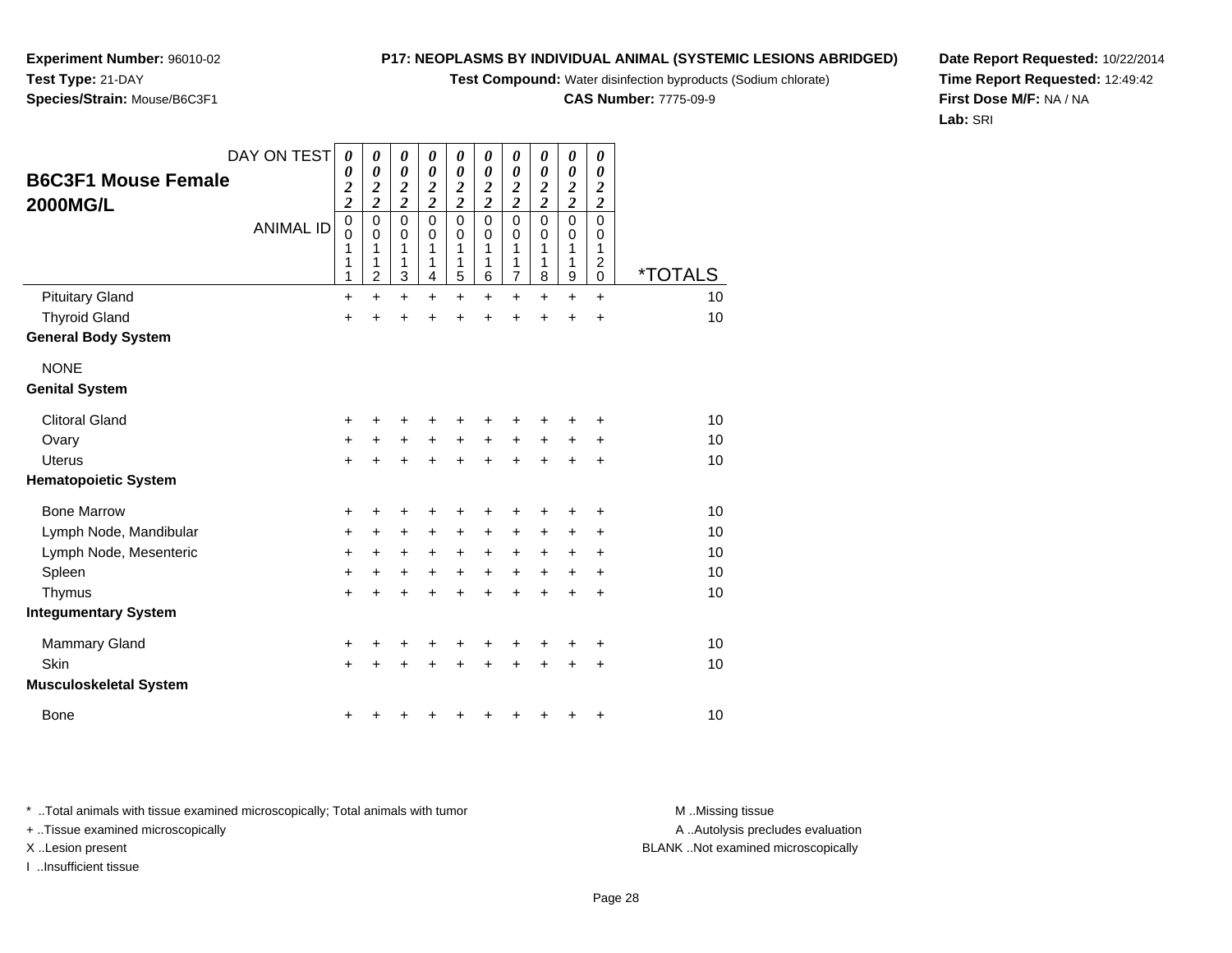**Test Compound:** Water disinfection byproducts (Sodium chlorate)

**CAS Number:** 7775-09-9

**Date Report Requested:** 10/22/2014**Time Report Requested:** 12:49:42**First Dose M/F:** NA / NA**Lab:** SRI

| DAY ON TEST<br><b>B6C3F1 Mouse Female</b><br><b>2000MG/L</b> | <b>ANIMAL ID</b> | 0<br>0<br>$\boldsymbol{2}$<br>$\overline{\mathbf{c}}$<br>$\mathbf 0$<br>0<br>1<br>1<br>1 | 0<br>0<br>$\overline{2}$<br>$\overline{\mathbf{c}}$<br>$\mathbf 0$<br>0<br>1<br>1<br>$\overline{2}$ | 0<br>0<br>$\overline{2}$<br>$\overline{2}$<br>$\mathbf 0$<br>0<br>1<br>1<br>3 | 0<br>$\boldsymbol{\theta}$<br>$\overline{2}$<br>$\overline{c}$<br>$\pmb{0}$<br>0<br>1<br>1<br>4 | 0<br>0<br>$\overline{\mathbf{c}}$<br>$\overline{\mathbf{c}}$<br>$\mathbf 0$<br>0<br>1<br>1<br>5 | 0<br>0<br>$\frac{2}{2}$<br>$\pmb{0}$<br>0<br>1<br>1<br>6 | 0<br>0<br>$\boldsymbol{2}$<br>$\overline{c}$<br>$\mathbf 0$<br>0<br>1<br>1<br>7 | 0<br>0<br>$\boldsymbol{2}$<br>$\overline{c}$<br>$\mathbf 0$<br>0<br>1<br>1<br>8 | 0<br>0<br>$\boldsymbol{2}$<br>$\overline{c}$<br>$\mathbf 0$<br>0<br>1<br>1<br>9 | 0<br>0<br>$\boldsymbol{2}$<br>$\overline{2}$<br>$\mathbf 0$<br>0<br>1<br>$\overline{c}$<br>$\pmb{0}$ | <i><b>*TOTALS</b></i> |  |
|--------------------------------------------------------------|------------------|------------------------------------------------------------------------------------------|-----------------------------------------------------------------------------------------------------|-------------------------------------------------------------------------------|-------------------------------------------------------------------------------------------------|-------------------------------------------------------------------------------------------------|----------------------------------------------------------|---------------------------------------------------------------------------------|---------------------------------------------------------------------------------|---------------------------------------------------------------------------------|------------------------------------------------------------------------------------------------------|-----------------------|--|
| <b>Pituitary Gland</b>                                       |                  | $\ddot{}$                                                                                | $\ddot{}$                                                                                           | $\ddot{}$                                                                     | $\ddot{}$                                                                                       | $\ddot{}$                                                                                       | $\ddot{}$                                                | $\ddot{}$                                                                       | $\ddot{}$                                                                       | $\ddot{}$                                                                       | $\ddot{}$                                                                                            | 10                    |  |
| <b>Thyroid Gland</b>                                         |                  | +                                                                                        | +                                                                                                   | $\ddot{}$                                                                     | $\ddot{}$                                                                                       | $\ddot{}$                                                                                       | $\ddot{}$                                                | +                                                                               | $\ddot{}$                                                                       | $\ddot{}$                                                                       | +                                                                                                    | 10                    |  |
| <b>General Body System</b>                                   |                  |                                                                                          |                                                                                                     |                                                                               |                                                                                                 |                                                                                                 |                                                          |                                                                                 |                                                                                 |                                                                                 |                                                                                                      |                       |  |
| <b>NONE</b>                                                  |                  |                                                                                          |                                                                                                     |                                                                               |                                                                                                 |                                                                                                 |                                                          |                                                                                 |                                                                                 |                                                                                 |                                                                                                      |                       |  |
| <b>Genital System</b>                                        |                  |                                                                                          |                                                                                                     |                                                                               |                                                                                                 |                                                                                                 |                                                          |                                                                                 |                                                                                 |                                                                                 |                                                                                                      |                       |  |
| <b>Clitoral Gland</b>                                        |                  | +                                                                                        | ٠                                                                                                   | +                                                                             | +                                                                                               | +                                                                                               | +                                                        | +                                                                               | +                                                                               | +                                                                               | +                                                                                                    | 10                    |  |
| Ovary                                                        |                  | $\ddot{}$                                                                                | +                                                                                                   | $\ddot{}$                                                                     | $\ddot{}$                                                                                       | $\ddot{}$                                                                                       | $\ddot{}$                                                | $\ddot{}$                                                                       | $\ddot{}$                                                                       | $\ddot{}$                                                                       | +                                                                                                    | 10                    |  |
| <b>Uterus</b>                                                |                  | $+$                                                                                      | +                                                                                                   | $\ddot{}$                                                                     | $\ddot{}$                                                                                       | $\ddot{}$                                                                                       | $\ddot{}$                                                | $\ddot{}$                                                                       | $\ddot{}$                                                                       | $\ddot{}$                                                                       | +                                                                                                    | 10                    |  |
| <b>Hematopoietic System</b>                                  |                  |                                                                                          |                                                                                                     |                                                                               |                                                                                                 |                                                                                                 |                                                          |                                                                                 |                                                                                 |                                                                                 |                                                                                                      |                       |  |
| <b>Bone Marrow</b>                                           |                  | +                                                                                        | +                                                                                                   | +                                                                             | +                                                                                               | +                                                                                               | +                                                        | +                                                                               | +                                                                               | +                                                                               | +                                                                                                    | 10                    |  |
| Lymph Node, Mandibular                                       |                  | $\ddot{}$                                                                                | +                                                                                                   | +                                                                             | +                                                                                               | +                                                                                               | +                                                        | +                                                                               | +                                                                               | +                                                                               | +                                                                                                    | 10                    |  |
| Lymph Node, Mesenteric                                       |                  | $\ddot{}$                                                                                | +                                                                                                   | +                                                                             | +                                                                                               | $\ddot{}$                                                                                       | $\ddot{}$                                                | $\ddot{}$                                                                       | +                                                                               | $\ddot{}$                                                                       | +                                                                                                    | 10                    |  |
| Spleen                                                       |                  | $\ddot{}$                                                                                | $\ddot{}$                                                                                           | +                                                                             | +                                                                                               | +                                                                                               | $\ddot{}$                                                | $\ddot{}$                                                                       | $\ddot{}$                                                                       | $\ddot{}$                                                                       | ÷                                                                                                    | 10                    |  |
| Thymus                                                       |                  | $\ddot{}$                                                                                | $\ddot{}$                                                                                           | $\ddot{}$                                                                     | $\ddot{}$                                                                                       | $\ddot{}$                                                                                       | $\ddot{}$                                                | $\ddot{}$                                                                       | $\ddot{}$                                                                       | $\ddot{}$                                                                       | $\ddot{}$                                                                                            | 10                    |  |
| <b>Integumentary System</b>                                  |                  |                                                                                          |                                                                                                     |                                                                               |                                                                                                 |                                                                                                 |                                                          |                                                                                 |                                                                                 |                                                                                 |                                                                                                      |                       |  |
| <b>Mammary Gland</b>                                         |                  | +                                                                                        |                                                                                                     | +                                                                             | +                                                                                               | +                                                                                               | +                                                        | +                                                                               | +                                                                               | +                                                                               | +                                                                                                    | 10                    |  |
| Skin                                                         |                  | $\ddot{}$                                                                                |                                                                                                     | +                                                                             | +                                                                                               | +                                                                                               | +                                                        | +                                                                               | $\ddot{}$                                                                       | +                                                                               | +                                                                                                    | 10                    |  |
| Musculoskeletal System                                       |                  |                                                                                          |                                                                                                     |                                                                               |                                                                                                 |                                                                                                 |                                                          |                                                                                 |                                                                                 |                                                                                 |                                                                                                      |                       |  |
| <b>Bone</b>                                                  |                  | ٠                                                                                        |                                                                                                     | ٠                                                                             | +                                                                                               | +                                                                                               | ٠                                                        | +                                                                               | +                                                                               | +                                                                               | +                                                                                                    | 10                    |  |

\* ..Total animals with tissue examined microscopically; Total animals with tumor **M** . Missing tissue M ..Missing tissue

+ ..Tissue examined microscopically

**Experiment Number:** 96010-02

**Species/Strain:** Mouse/B6C3F1

**Test Type:** 21-DAY

I ..Insufficient tissue